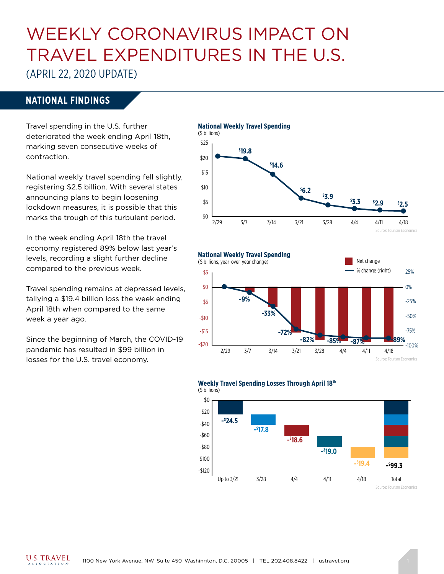# WEEKLY CORONAVIRUS IMPACT ON TRAVEL EXPENDITURES IN THE U.S.

(APRIL 22, 2020 UPDATE)

### **NATIONAL FINDINGS**

Travel spending in the U.S. further deteriorated the week ending April 18th, marking seven consecutive weeks of contraction.

National weekly travel spending fell slightly, registering \$2.5 billion. With several states announcing plans to begin loosening lockdown measures, it is possible that this marks the trough of this turbulent period.

In the week ending April 18th the travel economy registered 89% below last year's levels, recording a slight further decline compared to the previous week.

Travel spending remains at depressed levels, tallying a \$19.4 billion loss the week ending April 18th when compared to the same week a year ago.

Since the beginning of March, the COVID-19 pandemic has resulted in \$99 billion in losses for the U.S. travel economy.







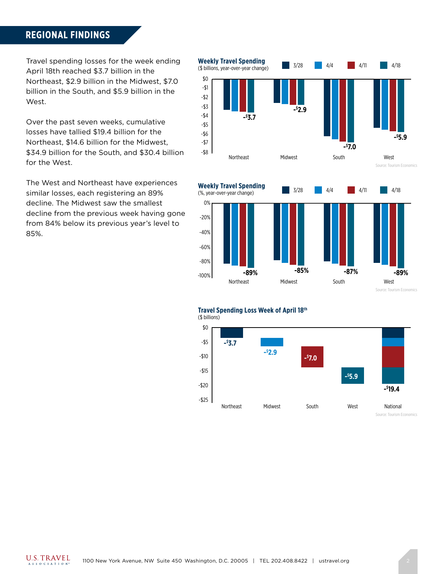#### **REGIONAL FINDINGS**

Travel spending losses for the week ending April 18th reached \$3.7 billion in the Northeast, \$2.9 billion in the Midwest, \$7.0 billion in the South, and \$5.9 billion in the West.

Over the past seven weeks, cumulative losses have tallied \$19.4 billion for the Northeast, \$14.6 billion for the Midwest, \$34.9 billion for the South, and \$30.4 billion for the West.

The West and Northeast have experiences similar losses, each registering an 89% decline. The Midwest saw the smallest decline from the previous week having gone from 84% below its previous year's level to 85%.





Northeast

-100% -80%



**-89% -85% -87% -89%** Midwest South South West

Source: Tourism Economics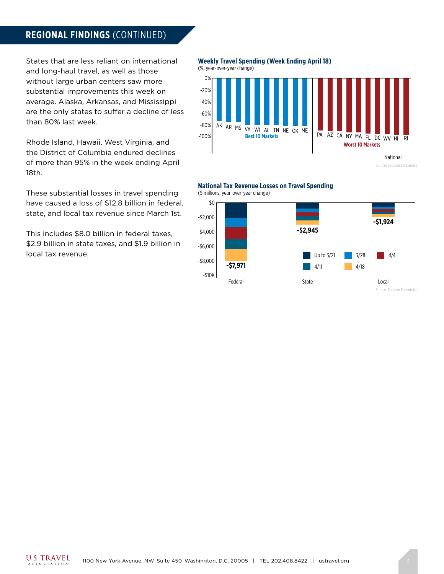#### **REGIONAL FINDINGS** (CONTINUED)

States that are less reliant on international and long-haul travel, as well as those without large urban centers saw more substantial improvements this week on average. Alaska, Arkansas, and Mississippi are the only states to suffer a decline of less than 80% last week.

Rhode Island, Hawaii, West Virginia, and the District of Columbia endured declines of more than 95% in the week ending April 18th.

These substantial losses in travel spending have caused a loss of \$12.8 billion in federal, state, and local tax revenue since March 1st.

This includes \$8.0 billion in federal taxes, \$2.9 billion in state taxes, and \$1.9 billion in local tax revenue.

**Weekly Travel Spending (Week Ending April 18)**



#### **National Tax Revenue Losses on Travel Spending** (\$ millions, year-over-year change)

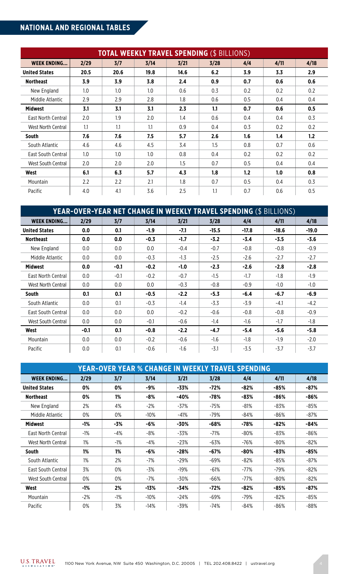# **NATIONAL AND REGIONAL TABLES**

| <b>TOTAL WEEKLY TRAVEL SPENDING (\$ BILLIONS)</b> |      |      |      |      |      |     |      |      |  |  |
|---------------------------------------------------|------|------|------|------|------|-----|------|------|--|--|
| <b>WEEK ENDING</b>                                | 2/29 | 3/7  | 3/14 | 3/21 | 3/28 | 4/4 | 4/11 | 4/18 |  |  |
| <b>United States</b>                              | 20.5 | 20.6 | 19.8 | 14.6 | 6.2  | 3.9 | 3.3  | 2.9  |  |  |
| <b>Northeast</b>                                  | 3.9  | 3.9  | 3.8  | 2.4  | 0.9  | 0.7 | 0.6  | 0.6  |  |  |
| New England                                       | 1.0  | 1.0  | 1.0  | 0.6  | 0.3  | 0.2 | 0.2  | 0.2  |  |  |
| Middle Atlantic                                   | 2.9  | 2.9  | 2.8  | 1.8  | 0.6  | 0.5 | 0.4  | 0.4  |  |  |
| <b>Midwest</b>                                    | 3.1  | 3.1  | 3.1  | 2.3  | 1.1  | 0.7 | 0.6  | 0.5  |  |  |
| East North Central                                | 2.0  | 1.9  | 2.0  | 1.4  | 0.6  | 0.4 | 0.4  | 0.3  |  |  |
| West North Central                                | 1.1  | 1.1  | 1.1  | 0.9  | 0.4  | 0.3 | 0.2  | 0.2  |  |  |
| South                                             | 7.6  | 7.6  | 7.5  | 5.7  | 2.6  | 1.6 | 1.4  | 1.2  |  |  |
| South Atlantic                                    | 4.6  | 4.6  | 4.5  | 3.4  | 1.5  | 0.8 | 0.7  | 0.6  |  |  |
| East South Central                                | 1.0  | 1.0  | 1.0  | 0.8  | 0.4  | 0.2 | 0.2  | 0.2  |  |  |
| West South Central                                | 2.0  | 2.0  | 2.0  | 1.5  | 0.7  | 0.5 | 0.4  | 0.4  |  |  |
| West                                              | 6.1  | 6.3  | 5.7  | 4.3  | 1.8  | 1.2 | 1.0  | 0.8  |  |  |
| Mountain                                          | 2.2  | 2.2  | 2.1  | 1.8  | 0.7  | 0.5 | 0.4  | 0.3  |  |  |
| Pacific                                           | 4.0  | 4.1  | 3.6  | 2.5  | 1.1  | 0.7 | 0.6  | 0.5  |  |  |

| <b>YEAR-OVER-YEAR NET CHANGE IN WEEKLY TRAVEL SPENDING (\$ BILLIONS)</b> |        |        |        |        |         |         |         |         |  |  |
|--------------------------------------------------------------------------|--------|--------|--------|--------|---------|---------|---------|---------|--|--|
| <b>WEEK ENDING</b>                                                       | 2/29   | 3/7    | 3/14   | 3/21   | 3/28    | 4/4     | 4/11    | 4/18    |  |  |
| <b>United States</b>                                                     | 0.0    | 0.1    | $-1.9$ | $-7.1$ | $-15.5$ | $-17.8$ | $-18.6$ | $-19.0$ |  |  |
| <b>Northeast</b>                                                         | 0.0    | 0.0    | $-0.3$ | $-1.7$ | $-3.2$  | $-3.4$  | $-3.5$  | $-3.6$  |  |  |
| New England                                                              | 0.0    | 0.0    | 0.0    | $-0.4$ | $-0.7$  | $-0.8$  | $-0.8$  | $-0.9$  |  |  |
| Middle Atlantic                                                          | 0.0    | 0.0    | $-0.3$ | $-1.3$ | $-2.5$  | $-2.6$  | $-2.7$  | $-2.7$  |  |  |
| <b>Midwest</b>                                                           | 0.0    | $-0.1$ | $-0.2$ | $-1.0$ | $-2.3$  | $-2.6$  | $-2.8$  | $-2.8$  |  |  |
| East North Central                                                       | 0.0    | $-0.1$ | $-0.2$ | $-0.7$ | $-1.5$  | $-1.7$  | $-1.8$  | $-1.9$  |  |  |
| West North Central                                                       | 0.0    | 0.0    | 0.0    | $-0.3$ | $-0.8$  | $-0.9$  | $-1.0$  | $-1.0$  |  |  |
| South                                                                    | 0.1    | 0.1    | $-0.5$ | $-2.2$ | $-5.3$  | $-6.4$  | $-6.7$  | $-6.9$  |  |  |
| South Atlantic                                                           | 0.0    | 0.1    | $-0.3$ | $-1.4$ | $-3.3$  | $-3.9$  | -4.1    | $-4.2$  |  |  |
| East South Central                                                       | 0.0    | 0.0    | 0.0    | $-0.2$ | $-0.6$  | $-0.8$  | $-0.8$  | $-0.9$  |  |  |
| West South Central                                                       | 0.0    | 0.0    | $-0.1$ | $-0.6$ | $-1.4$  | $-1.6$  | $-1.7$  | $-1.8$  |  |  |
| West                                                                     | $-0.1$ | 0.1    | $-0.8$ | $-2.2$ | $-4.7$  | $-5.4$  | $-5.6$  | $-5.8$  |  |  |
| Mountain                                                                 | 0.0    | 0.0    | $-0.2$ | $-0.6$ | $-1.6$  | $-1.8$  | $-1.9$  | $-2.0$  |  |  |
| Pacific                                                                  | 0.0    | 0.1    | $-0.6$ | $-1.6$ | $-3.1$  | $-3.5$  | $-3.7$  | $-3.7$  |  |  |

| <b>YEAR-OVER YEAR % CHANGE IN WEEKLY TRAVEL SPENDING</b> |       |        |        |        |        |        |        |        |  |  |  |
|----------------------------------------------------------|-------|--------|--------|--------|--------|--------|--------|--------|--|--|--|
| <b>WEEK ENDING</b>                                       | 2/29  | 3/7    | 3/14   | 3/21   | 3/28   | 4/4    | 4/11   | 4/18   |  |  |  |
| <b>United States</b>                                     | 0%    | 0%     | -9%    | -33%   | $-72%$ | $-82%$ | $-85%$ | -87%   |  |  |  |
| <b>Northeast</b>                                         | 0%    | 1%     | -8%    | $-40%$ | $-78%$ | $-83%$ | $-86%$ | -86%   |  |  |  |
| New England                                              | 2%    | 4%     | $-2\%$ | $-37%$ | -75%   | -81%   | -83%   | -85%   |  |  |  |
| Middle Atlantic                                          | 0%    | 0%     | $-10%$ | $-41%$ | $-79%$ | $-84%$ | $-86%$ | -87%   |  |  |  |
| <b>Midwest</b>                                           | -1%   | -3%    | -6%    | -30%   | $-68%$ | -78%   | $-82%$ | -84%   |  |  |  |
| East North Central                                       | $-1%$ | -4%    | -8%    | $-33%$ | $-71%$ | -80%   | -83%   | $-86%$ |  |  |  |
| West North Central                                       | 1%    | $-1%$  | -4%    | $-23%$ | $-63%$ | $-76%$ | $-80%$ | $-82%$ |  |  |  |
| <b>South</b>                                             | 1%    | 1%     | -6%    | $-28%$ | $-67%$ | -80%   | -83%   | $-85%$ |  |  |  |
| South Atlantic                                           | $1\%$ | 2%     | -7%    | $-29%$ | $-69%$ | $-82%$ | $-85%$ | $-87%$ |  |  |  |
| East South Central                                       | 3%    | 0%     | -3%    | $-19%$ | $-61%$ | $-77%$ | -79%   | $-82%$ |  |  |  |
| West South Central                                       | 0%    | 0%     | $-7%$  | $-30%$ | -66%   | $-77%$ | $-80%$ | $-82%$ |  |  |  |
| West                                                     | -1%   | 2%     | $-13%$ | $-34%$ | -72%   | $-82%$ | $-85%$ | $-87%$ |  |  |  |
| Mountain                                                 | $-2%$ | $-1\%$ | $-10%$ | $-24%$ | $-69%$ | -79%   | $-82%$ | -85%   |  |  |  |
| Pacific                                                  | 0%    | 3%     | $-14%$ | $-39%$ | $-74%$ | $-84%$ | $-86%$ | $-88%$ |  |  |  |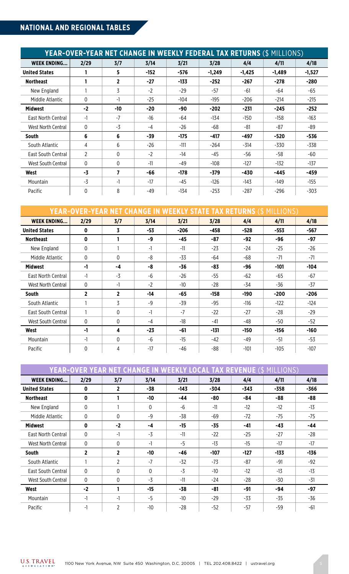# **NATIONAL AND REGIONAL TABLES**

| <b>YEAR-OVER-YEAR NET CHANGE IN WEEKLY FEDERAL TAX RETURNS (\$ MILLIONS)</b> |                |              |        |        |          |          |          |          |  |  |
|------------------------------------------------------------------------------|----------------|--------------|--------|--------|----------|----------|----------|----------|--|--|
| <b>WEEK ENDING</b>                                                           | 2/29           | 3/7          | 3/14   | 3/21   | 3/28     | 4/4      | 4/11     | 4/18     |  |  |
| <b>United States</b>                                                         |                | 5.           | $-152$ | $-576$ | $-1,249$ | $-1,425$ | $-1,489$ | $-1,527$ |  |  |
| <b>Northeast</b>                                                             |                | $\mathbf{2}$ | $-27$  | -133   | $-252$   | -267     | $-278$   | $-280$   |  |  |
| New England                                                                  |                | 3            | $-2$   | $-29$  | -57      | -61      | -64      | $-65$    |  |  |
| Middle Atlantic                                                              | $\Omega$       | $-1$         | $-25$  | $-104$ | $-195$   | $-206$   | $-214$   | $-215$   |  |  |
| <b>Midwest</b>                                                               | $-2$           | -10          | $-20$  | -90    | $-202$   | $-231$   | $-245$   | $-252$   |  |  |
| <b>East North Central</b>                                                    | $-1$           | $-7$         | $-16$  | $-64$  | $-134$   | $-150$   | $-158$   | $-163$   |  |  |
| West North Central                                                           | $\mathbf{0}$   | $-3$         | $-4$   | $-26$  | $-68$    | $-81$    | -87      | -89      |  |  |
| <b>South</b>                                                                 | 6              | 6            | -39    | $-175$ | $-417$   | -497     | $-520$   | -536     |  |  |
| South Atlantic                                                               | 4              | 6            | $-26$  | $-111$ | $-264$   | -314     | -330     | $-338$   |  |  |
| East South Central                                                           | $\overline{2}$ | $\Omega$     | $-2$   | $-14$  | $-45$    | -56      | $-58$    | $-60$    |  |  |
| West South Central                                                           | $\Omega$       | $\Omega$     | $-11$  | -49    | $-108$   | $-127$   | $-132$   | $-137$   |  |  |
| West                                                                         | -3             | 7            | -66    | $-178$ | $-379$   | -430     | $-445$   | -459     |  |  |
| Mountain                                                                     | $-3$           | $-1$         | $-17$  | $-45$  | $-126$   | $-143$   | $-149$   | $-155$   |  |  |
| Pacific                                                                      | 0              | 8            | $-49$  | $-134$ | $-253$   | $-287$   | $-296$   | $-303$   |  |  |

| <b>YEAR-OVER-YEAR NET CHANGE IN WEEKLY STATE TAX RETURNS (\$ MILLIONS)</b> |                |                         |       |        |        |        |        |        |  |  |
|----------------------------------------------------------------------------|----------------|-------------------------|-------|--------|--------|--------|--------|--------|--|--|
| <b>WEEK ENDING</b>                                                         | 2/29           | 3/7                     | 3/14  | 3/21   | 3/28   | 4/4    | 4/11   | 4/18   |  |  |
| <b>United States</b>                                                       | $\mathbf 0$    | $\overline{\mathbf{3}}$ | $-53$ | $-206$ | $-458$ | $-528$ | $-553$ | -567   |  |  |
| <b>Northeast</b>                                                           | $\mathbf{0}$   |                         | -9    | -45    | -87    | -92    | -96    | $-97$  |  |  |
| New England                                                                | 0              |                         | $-1$  | $-11$  | $-23$  | -24    | $-25$  | $-26$  |  |  |
| Middle Atlantic                                                            | $\Omega$       | $\Omega$                | -8    | $-33$  | -64    | -68    | $-71$  | $-71$  |  |  |
| Midwest                                                                    | -1             | -4                      | -8    | -36    | -83    | -96    | $-101$ | $-104$ |  |  |
| East North Central                                                         | -1             | $-3$                    | -6    | $-26$  | $-55$  | $-62$  | $-65$  | $-67$  |  |  |
| West North Central                                                         | $\Omega$       | $-1$                    | $-2$  | $-10$  | $-28$  | -34    | $-36$  | $-37$  |  |  |
| South                                                                      | $\overline{2}$ | $\overline{2}$          | -14   | -65    | $-158$ | -190   | $-200$ | $-206$ |  |  |
| South Atlantic                                                             |                | $\overline{3}$          | $-9$  | $-39$  | $-95$  | -116   | $-122$ | $-124$ |  |  |
| East South Central                                                         |                | $\Omega$                | -1    | $-7$   | $-22$  | $-27$  | $-28$  | $-29$  |  |  |
| West South Central                                                         | $\Omega$       | $\Omega$                | -4    | $-18$  | -41    | -48    | $-50$  | $-52$  |  |  |
| West                                                                       | -1             | 4                       | $-23$ | $-61$  | -131   | $-150$ | $-156$ | $-160$ |  |  |
| Mountain                                                                   | -1             | $\Omega$                | -6    | $-15$  | -42    | -49    | $-51$  | $-53$  |  |  |
| Pacific                                                                    | $\Omega$       | 4                       | $-17$ | $-46$  | -88    | $-101$ | $-105$ | $-107$ |  |  |

| <b>YEAR-OVER YEAR NET CHANGE IN WEEKLY LOCAL TAX REVENUE (\$ MILLIONS)</b> |              |                |          |        |       |        |        |        |  |  |
|----------------------------------------------------------------------------|--------------|----------------|----------|--------|-------|--------|--------|--------|--|--|
| <b>WEEK ENDING</b>                                                         | 2/29         | 3/7            | 3/14     | 3/21   | 3/28  | 4/4    | 4/11   | 4/18   |  |  |
| <b>United States</b>                                                       | 0            | $\mathbf{2}$   | -38      | $-143$ | -304  | $-343$ | $-358$ | $-366$ |  |  |
| <b>Northeast</b>                                                           | $\mathbf{0}$ |                | -10      | -44    | -80   | -84    | -88    | -88    |  |  |
| New England                                                                | $\mathbf{0}$ |                | $\Omega$ | -6     | $-11$ | $-12$  | $-12$  | $-13$  |  |  |
| Middle Atlantic                                                            | $\mathbf{0}$ | $\mathbf{0}$   | $-9$     | -38    | -69   | $-72$  | $-75$  | -75    |  |  |
| <b>Midwest</b>                                                             | 0            | $-2$           | -4       | $-15$  | $-35$ | -41    | -43    | -44    |  |  |
| East North Central                                                         | $\mathbf 0$  | $-1$           | $-3$     | $-11$  | $-22$ | $-25$  | $-27$  | $-28$  |  |  |
| West North Central                                                         | $\mathbf{0}$ | $\Omega$       | -1       | $-5$   | $-13$ | $-15$  | $-17$  | $-17$  |  |  |
| <b>South</b>                                                               | 2            | $\mathbf{2}$   | $-10$    | -46    | -107  | $-127$ | -133   | $-136$ |  |  |
| South Atlantic                                                             |              | $\overline{2}$ | $-7$     | $-32$  | $-73$ | $-87$  | $-91$  | $-92$  |  |  |
| East South Central                                                         | $\Omega$     | $\Omega$       | $\Omega$ | $-3$   | $-10$ | $-12$  | $-13$  | $-13$  |  |  |
| West South Central                                                         | $\mathbf{0}$ | $\Omega$       | $-3$     | $-11$  | $-24$ | $-28$  | -30    | $-31$  |  |  |
| West                                                                       | $-2$         |                | $-15$    | -38    | $-81$ | -91    | -94    | -97    |  |  |
| Mountain                                                                   | $-1$         | -1             | $-5$     | $-10$  | $-29$ | -33    | $-35$  | -36    |  |  |
| Pacific                                                                    | -1           | 2              | $-10$    | $-28$  | $-52$ | -57    | $-59$  | $-61$  |  |  |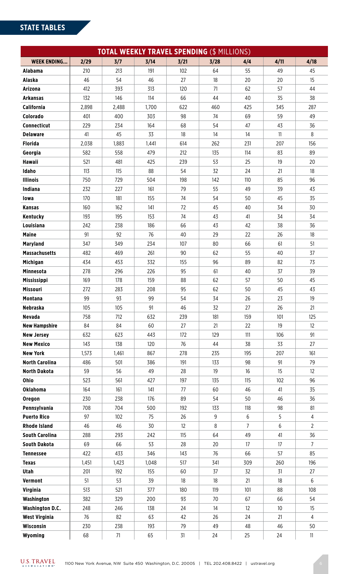# **STATE TABLES**

| <b>TOTAL WEEKLY TRAVEL SPENDING (\$ MILLIONS)</b> |       |       |       |      |      |                |                 |                   |  |  |
|---------------------------------------------------|-------|-------|-------|------|------|----------------|-----------------|-------------------|--|--|
| <b>WEEK ENDING</b>                                | 2/29  | 3/7   | 3/14  | 3/21 | 3/28 | 4/4            | 4/11            | 4/18              |  |  |
| <b>Alabama</b>                                    | 210   | 213   | 191   | 102  | 64   | 55             | 49              | 45                |  |  |
| Alaska                                            | 46    | 54    | 46    | 27   | 18   | 20             | 20              | 15                |  |  |
| Arizona                                           | 412   | 393   | 313   | 120  | 71   | 62             | 57              | 44                |  |  |
| Arkansas                                          | 132   | 146   | 114   | 66   | 44   | 40             | 35              | 38                |  |  |
| California                                        | 2,898 | 2,488 | 1,700 | 622  | 460  | 425            | 345             | 287               |  |  |
| Colorado                                          | 401   | 400   | 303   | 98   | 74   | 69             | 59              | 49                |  |  |
| Connecticut                                       | 229   | 234   | 164   | 68   | 54   | 47             | 43              | 36                |  |  |
| <b>Delaware</b>                                   | 41    | 45    | 33    | 18   | 14   | 14             | 11              | 8                 |  |  |
| <b>Florida</b>                                    | 2,038 | 1,883 | 1,441 | 614  | 262  | 231            | 207             | 156               |  |  |
| Georgia                                           | 582   | 558   | 479   | 212  | 135  | 114            | 83              | 89                |  |  |
| <b>Hawaii</b>                                     | 521   | 481   | 425   | 239  | 53   | 25             | 19              | 20                |  |  |
| Idaho                                             | 113   | 115   | 88    | 54   | 32   | 24             | 21              | 18                |  |  |
| <b>Illinois</b>                                   | 750   | 729   | 504   | 198  | 142  | 110            | 85              | 96                |  |  |
| Indiana                                           | 232   | 227   | 161   | 79   | 55   | 49             | 39              | 43                |  |  |
| lowa                                              | 170   | 181   | 155   | 74   | 54   | 50             | 45              | 35                |  |  |
| <b>Kansas</b>                                     | 160   | 162   | 141   | 72   | 45   | 40             | 34              | 30                |  |  |
| Kentucky                                          | 193   | 195   | 153   | 74   | 43   | 41             | 34              | 34                |  |  |
| Louisiana                                         | 242   | 238   | 186   | 66   | 43   | 42             | 38              | 36                |  |  |
| <b>Maine</b>                                      | 91    | 92    | 76    | 40   | 29   | 22             | 26              | 18                |  |  |
| <b>Maryland</b>                                   | 347   | 349   | 234   | 107  | 80   | 66             | 61              | 51                |  |  |
| <b>Massachusetts</b>                              | 482   | 469   | 261   | 90   | 62   | 55             | 40              | 37                |  |  |
| Michigan                                          | 434   | 453   | 332   | 155  | 96   | 89             | 82              | 73                |  |  |
| <b>Minnesota</b>                                  | 278   | 296   | 226   | 95   | 61   | 40             | 37              | 39                |  |  |
| <b>Mississippi</b>                                | 169   | 178   | 159   | 88   | 62   | 57             | 50              | 45                |  |  |
| Missouri                                          | 272   | 283   | 208   | 95   | 62   | 50             | 45              | 43                |  |  |
| <b>Montana</b>                                    | 99    | 93    | 99    | 54   | 34   | 26             | 23              | 19                |  |  |
| <b>Nebraska</b>                                   | 105   | 105   | 91    | 46   | 32   | 27             | 26              | 21                |  |  |
| <b>Nevada</b>                                     | 758   | 712   | 632   | 239  | 181  | 159            | 101             | 125               |  |  |
| <b>New Hampshire</b>                              | 84    | 84    | 60    | 27   | 21   | 22             | 19              | $12 \overline{ }$ |  |  |
| <b>New Jersey</b>                                 | 632   | 623   | 443   | 172  | 129  | 111            | 106             | 91                |  |  |
| <b>New Mexico</b>                                 | 143   | 138   | 120   | 76   | 44   | 38             | 33              | 27                |  |  |
| <b>New York</b>                                   | 1,573 | 1,461 | 867   | 278  | 235  | 195            | 207             | 161               |  |  |
| <b>North Carolina</b>                             | 486   | 501   | 386   | 191  | 133  | 98             | 91              | 79                |  |  |
| <b>North Dakota</b>                               | 59    | 56    | 49    | 28   | 19   | 16             | 15              | 12                |  |  |
| Ohio                                              | 523   | 561   | 427   | 197  | 135  | 115            | 102             | 96                |  |  |
| <b>Oklahoma</b>                                   | 164   | 161   | 141   | 77   | 60   | 46             | 41              | 35                |  |  |
| Oregon                                            | 230   | 238   | 176   | 89   | 54   | 50             | 46              | 36                |  |  |
| Pennsylvania                                      | 708   | 704   | 500   | 192  | 133  | 118            | 98              | 81                |  |  |
| <b>Puerto Rico</b>                                | 97    | 102   | 75    | 26   | 9    | 6              | 5               | $\overline{4}$    |  |  |
| <b>Rhode Island</b>                               | 46    | 46    | 30    | 12   | 8    | $\overline{7}$ | 6               | $\overline{2}$    |  |  |
| <b>South Carolina</b>                             | 288   | 293   | 242   | 115  | 64   | 49             | 41              | 36                |  |  |
| South Dakota                                      | 69    | 66    | 53    | 28   | 20   | $17\,$         | $17\,$          | $\overline{7}$    |  |  |
| <b>Tennessee</b>                                  | 422   | 433   | 346   | 143  | 76   | 66             | 57              | 85                |  |  |
| <b>Texas</b>                                      | 1,451 | 1,423 | 1,048 | 517  | 341  | 309            | 260             | 196               |  |  |
| Utah                                              | 201   | 192   | 155   | 60   | 37   | 32             | 31              | 27                |  |  |
| Vermont                                           | 51    | 53    | 39    | 18   | 18   | 21             | 18              | 6                 |  |  |
| <b>Virginia</b>                                   | 513   | 521   | 377   | 180  | 119  | 101            | 88              | 108               |  |  |
| Washington                                        | 382   | 329   | 200   | 93   | 70   | 67             | 66              | 54                |  |  |
| <b>Washington D.C.</b>                            | 248   | 246   | 138   | 24   | 14   | 12             | 10 <sup>°</sup> | 15                |  |  |
| <b>West Virginia</b>                              | 76    | 82    | 63    | 42   | 26   | 24             | 21              | 4                 |  |  |
| Wisconsin                                         | 230   | 238   | 193   | 79   | 49   | 48             | 46              | 50                |  |  |
| Wyoming                                           | 68    | 71    | 65    | 31   | 24   | 25             | 24              | 11                |  |  |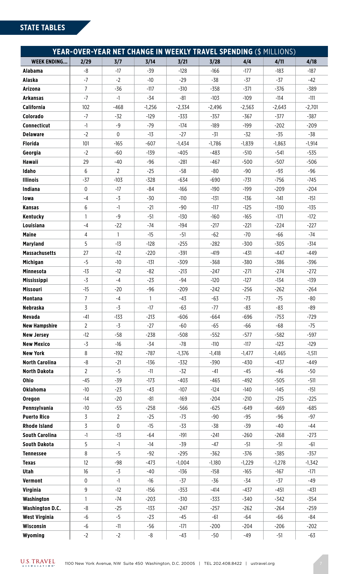| <b>YEAR-OVER-YEAR NET CHANGE IN WEEKLY TRAVEL SPENDING (\$ MILLIONS)</b> |                |                |          |          |          |          |          |          |  |  |
|--------------------------------------------------------------------------|----------------|----------------|----------|----------|----------|----------|----------|----------|--|--|
| <b>WEEK ENDING</b>                                                       | 2/29           | 3/7            | 3/14     | 3/21     | 3/28     | 4/4      | 4/11     | 4/18     |  |  |
| <b>Alabama</b>                                                           | -8             | $-17$          | $-39$    | $-128$   | $-166$   | $-177$   | -183     | $-187$   |  |  |
| <b>Alaska</b>                                                            | $-7$           | $-2$           | $-10$    | $-29$    | $-38$    | $-37$    | $-37$    | $-42$    |  |  |
| Arizona                                                                  | $\overline{7}$ | $-36$          | $-117$   | $-310$   | $-358$   | $-371$   | -376     | -389     |  |  |
| <b>Arkansas</b>                                                          | $-7$           | $-1$           | -34      | $-81$    | $-103$   | $-109$   | -114     | $-111$   |  |  |
| California                                                               | 102            | $-468$         | $-1,256$ | $-2,334$ | $-2,496$ | $-2,563$ | $-2,643$ | $-2,701$ |  |  |
| Colorado                                                                 | $-7$           | $-32$          | $-129$   | $-333$   | $-357$   | -367     | $-377$   | -387     |  |  |
| Connecticut                                                              | $-1$           | $-9$           | -79      | -174     | -189     | $-199$   | $-202$   | $-209$   |  |  |
| <b>Delaware</b>                                                          | $-2$           | $\mathbf 0$    | $-13$    | $-27$    | $-31$    | $-32$    | $-35$    | -38      |  |  |
| <b>Florida</b>                                                           | 101            | $-165$         | $-607$   | $-1,434$ | $-1,786$ | $-1,839$ | $-1,863$ | $-1,914$ |  |  |
| Georgia                                                                  | $-2$           | $-60$          | $-139$   | $-405$   | $-483$   | $-510$   | $-541$   | $-535$   |  |  |
| <b>Hawaii</b>                                                            | 29             | $-40$          | -96      | $-281$   | $-467$   | $-500$   | $-507$   | $-506$   |  |  |
| Idaho                                                                    | 6              | $\mathbf{2}$   | $-25$    | $-58$    | $-80$    | -90      | -93      | -96      |  |  |
| <b>Illinois</b>                                                          | $-37$          | $-103$         | $-328$   | $-634$   | $-690$   | $-731$   | -756     | -745     |  |  |
| <b>Indiana</b>                                                           | $\mathbf 0$    | $-17$          | $-84$    | $-166$   | $-190$   | $-199$   | $-209$   | $-204$   |  |  |
| lowa                                                                     | $-4$           | $-3$           | $-30$    | $-110$   | -131     | $-136$   | -141     | $-151$   |  |  |
| <b>Kansas</b>                                                            | 6              | $-1$           | $-21$    | -90      | $-117$   | $-125$   | $-130$   | $-135$   |  |  |
| Kentucky                                                                 | $\mathbf{1}$   | $-9$           | $-51$    | $-130$   | $-160$   | $-165$   | $-171$   | $-172$   |  |  |
| Louisiana                                                                | $-4$           | $-22$          | $-74$    | -194     | $-217$   | $-221$   | $-224$   | $-227$   |  |  |
| <b>Maine</b>                                                             | $\overline{4}$ | 1              | $-15$    | $-51$    | $-62$    | $-70$    | -66      | -74      |  |  |
| <b>Maryland</b>                                                          | 5              | $-13$          | $-128$   | $-255$   | $-282$   | $-300$   | $-305$   | $-314$   |  |  |
| <b>Massachusetts</b>                                                     | 27             | $-12$          | $-220$   | $-391$   | $-419$   | $-431$   | -447     | -449     |  |  |
| Michigan                                                                 | $-5$           | $-10$          | $-131$   | $-309$   | $-368$   | -380     | -386     | $-396$   |  |  |
| <b>Minnesota</b>                                                         | $-13$          | $-12$          | $-82$    | $-213$   | $-247$   | $-271$   | $-274$   | $-272$   |  |  |
| <b>Mississippi</b>                                                       | $-3$           | $-4$           | $-23$    | $-94$    | $-120$   | $-127$   | -134     | $-139$   |  |  |
| Missouri                                                                 | $-15$          | $-20$          | $-96$    | $-209$   | $-242$   | $-256$   | $-262$   | $-264$   |  |  |
| <b>Montana</b>                                                           | $\overline{7}$ | $-4$           | 1        | $-43$    | $-63$    | $-73$    | $-75$    | $-80$    |  |  |
| <b>Nebraska</b>                                                          | 3              | -3             | $-17$    | $-63$    | $-77$    | $-83$    | $-83$    | -89      |  |  |
| <b>Nevada</b>                                                            | $-41$          | $-133$         | $-213$   | $-606$   | $-664$   | $-696$   | $-753$   | $-729$   |  |  |
| <b>New Hampshire</b>                                                     | $\overline{2}$ | $-3$           | $-27$    | $-60$    | $-65$    | -66      | $-68$    | $-75$    |  |  |
| <b>New Jersey</b>                                                        | $-12$          | $-58$          | $-238$   | $-508$   | $-552$   | $-577$   | $-582$   | -597     |  |  |
| <b>New Mexico</b>                                                        | $-3$           | $-16$          | $-34$    | $-78$    | $-110$   | $-117$   | $-123$   | $-129$   |  |  |
| <b>New York</b>                                                          | 8              | $-192$         | $-787$   | $-1,376$ | $-1,418$ | $-1,477$ | $-1,465$ | $-1,511$ |  |  |
| <b>North Carolina</b>                                                    | -8             | $-21$          | $-136$   | $-332$   | -390     | $-430$   | -437     | -449     |  |  |
| <b>North Dakota</b>                                                      | $\overline{2}$ | $-5$           | $-11$    | $-32$    | $-41$    | $-45$    | -46      | $-50$    |  |  |
| Ohio                                                                     | $-45$          | $-39$          | $-173$   | $-403$   | $-465$   | $-492$   | $-505$   | $-511$   |  |  |
| <b>Oklahoma</b>                                                          | $-10$          | $-23$          | -43      | $-107$   | $-124$   | $-140$   | $-145$   | $-151$   |  |  |
| Oregon                                                                   | $-14$          | $-20$          | $-81$    | $-169$   | $-204$   | $-210$   | $-215$   | $-225$   |  |  |
| Pennsylvania                                                             | $-10$          | $-55$          | $-258$   | $-566$   | $-625$   | $-649$   | $-669$   | $-685$   |  |  |
| <b>Puerto Rico</b>                                                       | $\overline{3}$ | $\overline{2}$ | $-25$    | $-73$    | $-90$    | $-95$    | -96      | -97      |  |  |
| <b>Rhode Island</b>                                                      | 3              | $\pmb{0}$      | $-15$    | $-33$    | $-38$    | $-39$    | -40      | -44      |  |  |
| <b>South Carolina</b>                                                    | $-1$           | $-13$          | $-64$    | $-191$   | $-241$   | $-260$   | $-268$   | $-273$   |  |  |
| <b>South Dakota</b>                                                      | 5              | $-1$           | -14      | -39      | -47      | $-51$    | $-51$    | -61      |  |  |
| <b>Tennessee</b>                                                         | 8              | $-5$           | $-92$    | $-295$   | $-362$   | $-376$   | $-385$   | $-357$   |  |  |
| <b>Texas</b>                                                             | 12             | $-98$          | $-473$   | $-1,004$ | $-1,180$ | $-1,229$ | $-1,278$ | $-1,342$ |  |  |
| Utah                                                                     | 16             | $-3$           | $-40$    | $-136$   | $-158$   | $-165$   | $-167$   | $-171$   |  |  |
| Vermont                                                                  | $\pmb{0}$      | $-1$           | $-16$    | $-37$    | $-36$    | $-34$    | $-37$    | -49      |  |  |
| <b>Virginia</b>                                                          | 9              | $-12$          | $-156$   | $-353$   | $-414$   | $-437$   | $-451$   | $-431$   |  |  |
| Washington                                                               | $\mathbf{1}$   | -74            | $-203$   | $-310$   | $-333$   | $-340$   | $-342$   | -354     |  |  |
| <b>Washington D.C.</b>                                                   | -8             | $-25$          | $-133$   | $-247$   | $-257$   | $-262$   | $-264$   | $-259$   |  |  |
| <b>West Virginia</b>                                                     | $-6$           | $-5$           | $-23$    | $-45$    | $-61$    | -64      | -66      | $-84$    |  |  |
| Wisconsin                                                                | $-6$           | $-11$          | $-56$    | $-171$   | $-200$   | $-204$   | $-206$   | $-202$   |  |  |
| Wyoming                                                                  | $-2$           | $-2$           | -8       | $-43$    | $-50$    | -49      | $-51$    | -63      |  |  |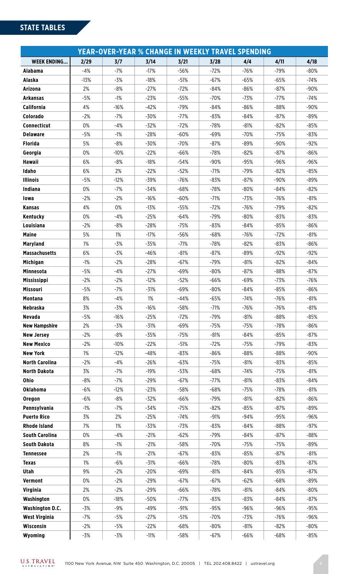# **STATE TABLES**

| <b>YEAR-OVER-YEAR % CHANGE IN WEEKLY TRAVEL SPENDING</b> |        |        |        |        |        |        |        |        |  |  |
|----------------------------------------------------------|--------|--------|--------|--------|--------|--------|--------|--------|--|--|
| <b>WEEK ENDING</b>                                       | 2/29   | 3/7    | 3/14   | 3/21   | 3/28   | 4/4    | 4/11   | 4/18   |  |  |
| Alabama                                                  | $-4%$  | $-7%$  | $-17%$ | $-56%$ | $-72%$ | $-76%$ | $-79%$ | $-80%$ |  |  |
| <b>Alaska</b>                                            | $-13%$ | $-3%$  | $-18%$ | $-51%$ | $-67%$ | $-65%$ | $-65%$ | -74%   |  |  |
| Arizona                                                  | 2%     | $-8%$  | $-27%$ | $-72%$ | $-84%$ | $-86%$ | $-87%$ | $-90%$ |  |  |
| <b>Arkansas</b>                                          | $-5%$  | $-1%$  | $-23%$ | $-55%$ | $-70%$ | $-73%$ | $-77%$ | -74%   |  |  |
| California                                               | 4%     | $-16%$ | $-42%$ | $-79%$ | $-84%$ | $-86%$ | $-88%$ | $-90%$ |  |  |
| Colorado                                                 | $-2%$  | $-7%$  | $-30%$ | $-77%$ | $-83%$ | $-84%$ | $-87%$ | $-89%$ |  |  |
| Connecticut                                              | 0%     | $-4%$  | $-32%$ | $-72%$ | $-78%$ | $-81%$ | $-82%$ | $-85%$ |  |  |
| <b>Delaware</b>                                          | $-5%$  | $-1%$  | $-28%$ | $-60%$ | $-69%$ | $-70%$ | $-75%$ | $-83%$ |  |  |
| <b>Florida</b>                                           | 5%     | $-8%$  | $-30%$ | $-70%$ | $-87%$ | $-89%$ | $-90%$ | $-92%$ |  |  |
| Georgia                                                  | 0%     | $-10%$ | $-22%$ | $-66%$ | $-78%$ | $-82%$ | $-87%$ | $-86%$ |  |  |
| <b>Hawaii</b>                                            | 6%     | $-8%$  | $-18%$ | $-54%$ | $-90%$ | $-95%$ | $-96%$ | $-96%$ |  |  |
| Idaho                                                    | 6%     | 2%     | $-22%$ | $-52%$ | $-71%$ | $-79%$ | $-82%$ | $-85%$ |  |  |
| <b>Illinois</b>                                          | $-5%$  | $-12%$ | $-39%$ | $-76%$ | $-83%$ | $-87%$ | $-90%$ | $-89%$ |  |  |
| Indiana                                                  | 0%     | $-7%$  | $-34%$ | $-68%$ | $-78%$ | $-80%$ | $-84%$ | $-82%$ |  |  |
| lowa                                                     | $-2%$  | $-2%$  | $-16%$ | $-60%$ | $-71%$ | $-73%$ | $-76%$ | $-81%$ |  |  |
| Kansas                                                   | 4%     | 0%     | $-13%$ | $-55%$ | $-72%$ | $-76%$ | $-79%$ | $-82%$ |  |  |
| Kentucky                                                 | 0%     | $-4%$  | $-25%$ | $-64%$ | $-79%$ | $-80%$ | $-83%$ | $-83%$ |  |  |
| Louisiana                                                | $-2%$  | $-8%$  | $-28%$ | $-75%$ | $-83%$ | $-84%$ | $-85%$ | $-86%$ |  |  |
| <b>Maine</b>                                             | 5%     | 1%     | $-17%$ | $-56%$ | $-68%$ | $-76%$ | $-72%$ | $-81%$ |  |  |
| <b>Maryland</b>                                          | $1\%$  | $-3%$  | $-35%$ | $-71%$ | $-78%$ | $-82%$ | $-83%$ | $-86%$ |  |  |
| <b>Massachusetts</b>                                     | 6%     | $-3%$  | $-46%$ | $-81%$ | $-87%$ | $-89%$ | $-92%$ | $-92%$ |  |  |
| <b>Michigan</b>                                          | $-1%$  | $-2%$  | $-28%$ | $-67%$ | $-79%$ | $-81%$ | $-82%$ | $-84%$ |  |  |
| <b>Minnesota</b>                                         | $-5%$  | $-4%$  | $-27%$ | $-69%$ | $-80%$ | $-87%$ | $-88%$ | $-87%$ |  |  |
| <b>Mississippi</b>                                       | $-2%$  | $-2%$  | $-12%$ | $-52%$ | $-66%$ | $-69%$ | $-73%$ | $-76%$ |  |  |
| Missouri                                                 | $-5%$  | $-7%$  | $-31%$ | $-69%$ | $-80%$ | $-84%$ | $-85%$ | $-86%$ |  |  |
| <b>Montana</b>                                           | 8%     | $-4%$  | 1%     | $-44%$ | $-65%$ | $-74%$ | $-76%$ | $-81%$ |  |  |
| <b>Nebraska</b>                                          | 3%     | $-3%$  | $-16%$ | $-58%$ | $-71%$ | $-76%$ | $-76%$ | $-81%$ |  |  |
| <b>Nevada</b>                                            | $-5%$  | $-16%$ | $-25%$ | $-72%$ | $-79%$ | $-81%$ | $-88%$ | $-85%$ |  |  |
| <b>New Hampshire</b>                                     | 2%     | $-3%$  | $-31%$ | $-69%$ | $-75%$ | $-75%$ | $-78%$ | $-86%$ |  |  |
| <b>New Jersey</b>                                        | $-2%$  | $-8%$  | $-35%$ | $-75%$ | $-81%$ | $-84%$ | $-85%$ | $-87%$ |  |  |
| <b>New Mexico</b>                                        | $-2%$  | $-10%$ | $-22%$ | $-51%$ | $-72%$ | $-75%$ | $-79%$ | $-83%$ |  |  |
| <b>New York</b>                                          | $1\%$  | $-12%$ | $-48%$ | $-83%$ | $-86%$ | $-88%$ | $-88%$ | $-90%$ |  |  |
| <b>North Carolina</b>                                    | $-2%$  | $-4%$  | $-26%$ | $-63%$ | $-75%$ | $-81%$ | $-83%$ | $-85%$ |  |  |
| <b>North Dakota</b>                                      | 3%     | $-7%$  | $-19%$ | $-53%$ | $-68%$ | $-74%$ | $-75%$ | -81%   |  |  |
| Ohio                                                     | $-8%$  | $-7%$  | $-29%$ | $-67%$ | $-77%$ | $-81%$ | $-83%$ | $-84%$ |  |  |
| <b>Oklahoma</b>                                          | $-6%$  | $-12%$ | $-23%$ | $-58%$ | $-68%$ | $-75%$ | $-78%$ | $-81%$ |  |  |
| Oregon                                                   | $-6%$  | $-8%$  | $-32%$ | $-66%$ | $-79%$ | $-81%$ | $-82%$ | $-86%$ |  |  |
| Pennsylvania                                             | $-1%$  | $-7%$  | $-34%$ | $-75%$ | $-82%$ | $-85%$ | $-87%$ | -89%   |  |  |
| <b>Puerto Rico</b>                                       | 3%     | 2%     | $-25%$ | $-74%$ | $-91%$ | $-94%$ | $-95%$ | $-96%$ |  |  |
| <b>Rhode Island</b>                                      | 7%     | $1\%$  | $-33%$ | $-73%$ | $-83%$ | $-84%$ | $-88%$ | $-97%$ |  |  |
| <b>South Carolina</b>                                    | 0%     | $-4%$  | $-21%$ | $-62%$ | $-79%$ | $-84%$ | $-87%$ | $-88%$ |  |  |
| <b>South Dakota</b>                                      | 8%     | $-1%$  | $-21%$ | $-58%$ | $-70%$ | $-75%$ | $-75%$ | -89%   |  |  |
| <b>Tennessee</b>                                         | 2%     | $-1%$  | $-21%$ | $-67%$ | $-83%$ | $-85%$ | $-87%$ | $-81%$ |  |  |
| <b>Texas</b>                                             | $1\%$  | $-6%$  | $-31%$ | $-66%$ | $-78%$ | $-80%$ | $-83%$ | $-87%$ |  |  |
| Utah                                                     | 9%     | $-2%$  | $-20%$ | $-69%$ | $-81%$ | $-84%$ | $-85%$ | $-87%$ |  |  |
| Vermont                                                  | 0%     | $-2%$  | $-29%$ | $-67%$ | $-67%$ | $-62%$ | $-68%$ | -89%   |  |  |
| <b>Virginia</b>                                          | 2%     | $-2%$  | $-29%$ | $-66%$ | $-78%$ | $-81%$ | $-84%$ | $-80%$ |  |  |
| Washington                                               | 0%     | $-18%$ | $-50%$ | $-77%$ | $-83%$ | $-83%$ | $-84%$ | $-87%$ |  |  |
| <b>Washington D.C.</b>                                   | $-3%$  | $-9%$  | $-49%$ | $-91%$ | $-95%$ | $-96%$ | $-96%$ | $-95%$ |  |  |
| <b>West Virginia</b>                                     | $-7%$  | $-5%$  | $-27%$ | $-51%$ | $-70%$ | $-73%$ | $-76%$ | $-96%$ |  |  |
| Wisconsin                                                | $-2%$  | $-5%$  | $-22%$ | $-68%$ | $-80%$ | $-81%$ | $-82%$ | -80%   |  |  |
| Wyoming                                                  | $-3%$  | $-3%$  | $-11%$ | $-58%$ | $-67%$ | $-66%$ | $-68%$ | $-85%$ |  |  |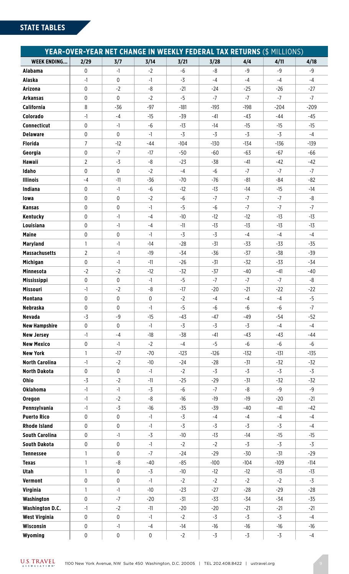| <b>YEAR-OVER-YEAR NET CHANGE IN WEEKLY FEDERAL TAX RETURNS (\$ MILLIONS)</b> |                |              |              |        |        |        |        |        |  |
|------------------------------------------------------------------------------|----------------|--------------|--------------|--------|--------|--------|--------|--------|--|
| <b>WEEK ENDING</b>                                                           | 2/29           | 3/7          | 3/14         | 3/21   | 3/28   | 4/4    | 4/11   | 4/18   |  |
| <b>Alabama</b>                                                               | $\mathbf 0$    | $-1$         | $-2$         | $-6$   | -8     | $-9$   | $-9$   | $-9$   |  |
| <b>Alaska</b>                                                                | $-1$           | $\mathbf 0$  | $-1$         | $-3$   | $-4$   | $-4$   | $-4$   | $-4$   |  |
| <b>Arizona</b>                                                               | 0              | $-2$         | -8           | $-21$  | -24    | $-25$  | $-26$  | $-27$  |  |
| <b>Arkansas</b>                                                              | $\mathbf 0$    | $\mathbf 0$  | $-2$         | $-5$   | $-7$   | $-7$   | $-7$   | $-7$   |  |
| California                                                                   | 8              | $-36$        | $-97$        | $-181$ | $-193$ | $-198$ | $-204$ | $-209$ |  |
| Colorado                                                                     | $-1$           | $-4$         | $-15$        | $-39$  | $-41$  | -43    | -44    | -45    |  |
| Connecticut                                                                  | $\mathbf 0$    | $-1$         | $-6$         | $-13$  | $-14$  | $-15$  | $-15$  | $-15$  |  |
| <b>Delaware</b>                                                              | $\mathbf 0$    | $\mathbf 0$  | $-1$         | $-3$   | $-3$   | $-3$   | $-3$   | $-4$   |  |
| <b>Florida</b>                                                               | $\overline{7}$ | $-12$        | $-44$        | $-104$ | $-130$ | $-134$ | $-136$ | $-139$ |  |
| Georgia                                                                      | $\mathbf 0$    | $-7$         | $-17$        | -50    | -60    | -63    | -67    | -66    |  |
| <b>Hawaii</b>                                                                | $\overline{2}$ | $-3$         | -8           | $-23$  | $-38$  | $-41$  | $-42$  | $-42$  |  |
| Idaho                                                                        | $\mathbf 0$    | $\mathbf 0$  | $-2$         | $-4$   | $-6$   | $-7$   | $-7$   | $-7$   |  |
| <b>Illinois</b>                                                              | $-4$           | $-11$        | $-36$        | $-70$  | $-76$  | $-81$  | $-84$  | $-82$  |  |
| Indiana                                                                      | 0              | $-1$         | $-6$         | $-12$  | $-13$  | $-14$  | $-15$  | $-14$  |  |
| lowa                                                                         | 0              | $\mathbf 0$  | $-2$         | $-6$   | $-7$   | $-7$   | $-7$   | -8     |  |
| <b>Kansas</b>                                                                | $\mathbf 0$    | $\mathbf 0$  | $-1$         | $-5$   | $-6$   | $-7$   | $-7$   | $-7$   |  |
| Kentucky                                                                     | $\mathbf 0$    | $-1$         | $-4$         | $-10$  | $-12$  | $-12$  | $-13$  | $-13$  |  |
| Louisiana                                                                    | 0              | $-1$         | $-4$         | $-11$  | $-13$  | $-13$  | $-13$  | $-13$  |  |
| <b>Maine</b>                                                                 | $\mathbf 0$    | $\mathbf 0$  | $-1$         | $-3$   | $-3$   | $-4$   | $-4$   | $-4$   |  |
| <b>Maryland</b>                                                              | $\mathbf{1}$   | $-1$         | $-14$        | $-28$  | $-31$  | $-33$  | $-33$  | $-35$  |  |
| <b>Massachusetts</b>                                                         | $\overline{2}$ | $-1$         | $-19$        | $-34$  | $-36$  | $-37$  | $-38$  | $-39$  |  |
| Michigan                                                                     | $\mathbf 0$    | $-1$         | $-11$        | $-26$  | $-31$  | $-32$  | $-33$  | $-34$  |  |
| <b>Minnesota</b>                                                             | $-2$           | $-2$         | $-12$        | $-32$  | $-37$  | $-40$  | $-41$  | $-40$  |  |
| <b>Mississippi</b>                                                           | 0              | $\mathbf 0$  | $-1$         | $-5$   | $-7$   | $-7$   | $-7$   | -8     |  |
| Missouri                                                                     | $-1$           | $-2$         | -8           | $-17$  | $-20$  | $-21$  | $-22$  | $-22$  |  |
| <b>Montana</b>                                                               | $\mathbf 0$    | $\mathbf 0$  | $\mathbf{0}$ | $-2$   | $-4$   | $-4$   | $-4$   | $-5$   |  |
| <b>Nebraska</b>                                                              | 0              | $\mathbf{0}$ | $-1$         | $-5$   | -6     | -6     | -6     | $-7$   |  |
| <b>Nevada</b>                                                                | $-3$           | $-9$         | $-15$        | $-43$  | $-47$  | $-49$  | $-54$  | $-52$  |  |
| <b>New Hampshire</b>                                                         | 0              | $\mathbf 0$  | $-1$         | $-3$   | $-3$   | $-3$   | $-4$   | $-4$   |  |
| <b>New Jersey</b>                                                            | $-1$           | -4           | $-18$        | $-38$  | -41    | $-43$  | -43    | -44    |  |
| <b>New Mexico</b>                                                            | $\pmb{0}$      | $-1$         | $-2$         | $-4$   | $-5$   | $-6$   | $-6$   | $-6$   |  |
| <b>New York</b>                                                              | $\mathbf{1}$   | $-17$        | $-70$        | $-123$ | $-126$ | $-132$ | $-131$ | $-135$ |  |
| <b>North Carolina</b>                                                        | $-1$           | $-2$         | $-10$        | $-24$  | $-28$  | $-31$  | $-32$  | $-32$  |  |
| <b>North Dakota</b>                                                          | $\pmb{0}$      | $\pmb{0}$    | $-1$         | $-2$   | $-3$   | $-3$   | $-3$   | $-3$   |  |
| Ohio                                                                         | $-3$           | $-2$         | $-11$        | $-25$  | $-29$  | $-31$  | $-32$  | $-32$  |  |
| <b>Oklahoma</b>                                                              | $-1$           | $-1$         | -3           | $-6$   | $-7$   | -8     | $-9$   | $-9$   |  |
| Oregon                                                                       | $-1$           | $-2$         | -8           | $-16$  | $-19$  | $-19$  | $-20$  | $-21$  |  |
| Pennsylvania                                                                 | $-1$           | $-3$         | $-16$        | $-35$  | $-39$  | $-40$  | $-41$  | $-42$  |  |
| <b>Puerto Rico</b>                                                           | 0              | $\mathbf 0$  | $-1$         | $-3$   | -4     | $-4$   | $-4$   | $-4$   |  |
| <b>Rhode Island</b>                                                          | $\pmb{0}$      | $\mathbf 0$  | $-1$         | $-3$   | $-3$   | $-3$   | $-3$   | $-4$   |  |
| <b>South Carolina</b>                                                        | 0              | $-1$         | $-3$         | $-10$  | $-13$  | $-14$  | $-15$  | $-15$  |  |
| South Dakota                                                                 | $\pmb{0}$      | $\pmb{0}$    | $-1$         | $-2$   | $-2$   | -3     | $-3$   | $-3$   |  |
| <b>Tennessee</b>                                                             | $\mathbf{1}$   | $\mathbf 0$  | $-7$         | $-24$  | $-29$  | $-30$  | $-31$  | $-29$  |  |
| <b>Texas</b>                                                                 | $\mathbf{1}$   | -8           | $-40$        | $-85$  | $-100$ | $-104$ | $-109$ | $-114$ |  |
| <b>Utah</b>                                                                  | $\mathbf{1}$   | $\mathbf 0$  | $-3$         | $-10$  | $-12$  | $-12$  | $-13$  | $-13$  |  |
| Vermont                                                                      | $\pmb{0}$      | $\mathbf 0$  | $-1$         | $-2$   | $-2$   | $-2$   | $-2$   | $-3$   |  |
| <b>Virginia</b>                                                              | $\mathbf{1}$   | $-1$         | $-10$        | $-23$  | $-27$  | $-28$  | $-29$  | $-28$  |  |
| Washington                                                                   | 0              | $-7$         | $-20$        | $-31$  | $-33$  | -34    | $-34$  | $-35$  |  |
| <b>Washington D.C.</b>                                                       | $-1$           | $-2$         | $-11$        | $-20$  | $-20$  | $-21$  | $-21$  | $-21$  |  |
| <b>West Virginia</b>                                                         | 0              | $\mathbf 0$  | $-1$         | $-2$   | $-3$   | $-3$   | $-3$   | $-4$   |  |
| Wisconsin                                                                    | $\pmb{0}$      | $-1$         | -4           | $-14$  | $-16$  | $-16$  | $-16$  | $-16$  |  |
| Wyoming                                                                      | $\pmb{0}$      | $\pmb{0}$    | 0            | $-2$   | $-3$   | $-3$   | $-3$   | $-4$   |  |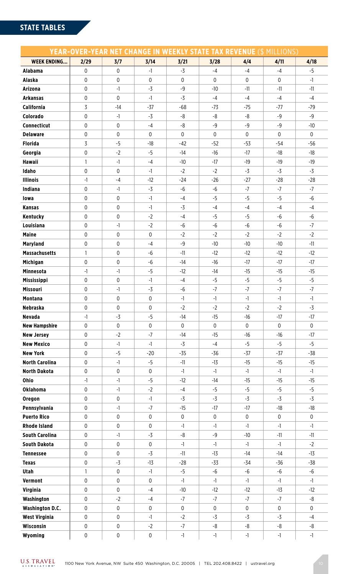| <b>WEEK ENDING</b><br>2/29<br>3/7<br>3/14<br>3/21<br>3/28<br>4/4<br>4/11<br>4/18<br>$-5$<br>$\mathbf 0$<br>$\mathbf 0$<br>$-3$<br>$-4$<br>$-4$<br>$-4$<br><b>Alabama</b><br>$-1$<br>$\mathbf 0$<br>$\pmb{0}$<br>$\mathbf 0$<br>$\mathbf 0$<br>$\mathbf 0$<br>$\mathbf 0$<br>$\mathbf 0$<br>$-1$<br><b>Alaska</b><br>$\mathbf 0$<br>$-9$<br>$-1$<br>$-3$<br>$-10$<br>$-11$<br>$-11$<br>$-11$<br>Arizona<br>$\pmb{0}$<br>$\mathbf 0$<br>$-1$<br>$-3$<br>$-4$<br>$-4$<br>$-4$<br>$-4$<br><b>Arkansas</b><br>$\overline{3}$<br>$-37$<br>California<br>$-14$<br>$-68$<br>$-73$<br>$-75$<br>$-77$<br>$-79$<br>$\mathbf 0$<br>$-9$<br>Colorado<br>$-1$<br>$-3$<br>-8<br>-8<br>-8<br>$-9$<br>$-9$<br>$-9$<br>Connecticut<br>0<br>$\mathbf 0$<br>$-4$<br>-8<br>$-9$<br>$-10$<br>$\mathbf 0$<br>$\mathbf 0$<br>$\mathbf 0$<br><b>Delaware</b><br>$\mathbf 0$<br>$\mathbf 0$<br>$\mathbf 0$<br>$\mathbf 0$<br>$\mathbf 0$<br>3<br><b>Florida</b><br>$-5$<br>$-18$<br>$-42$<br>$-52$<br>$-53$<br>$-54$<br>$-56$<br>$\pmb{0}$<br>$-2$<br>Georgia<br>$-5$<br>$-14$<br>$-16$<br>$-17$<br>$-18$<br>$-18$<br><b>Hawaii</b><br>$\mathbf{1}$<br>$-1$<br>$-4$<br>$-10$<br>$-17$<br>$-19$<br>$-19$<br>$-19$<br>Idaho<br>0<br>$\mathbf 0$<br>$-3$<br>$-3$<br>$-1$<br>$-2$<br>$-2$<br>-3<br><b>Illinois</b><br>$-1$<br>$-4$<br>$-12$<br>$-24$<br>$-26$<br>$-27$<br>$-28$<br>$-28$<br>$-3$<br>$-7$<br>$-7$<br>$-7$<br>Indiana<br>0<br>$-1$<br>$-6$<br>$-6$<br>$\mathbf 0$<br>$-5$<br>$-5$<br>$-6$<br>$\mathbf 0$<br>$-4$<br>$-5$<br>$-1$<br>lowa<br>0<br>$\pmb{0}$<br>$-3$<br>$-4$<br>$-4$<br>$-4$<br>$-4$<br><b>Kansas</b><br>$-1$<br>$\mathbf 0$<br>Kentucky<br>$\pmb{0}$<br>$-2$<br>$-4$<br>$-5$<br>$-5$<br>$-6$<br>-6<br>$\mathbf 0$<br>$-6$<br>$-7$<br>Louisiana<br>$-1$<br>$-2$<br>$-6$<br>-6<br>$-6$<br>$-2$<br>$-2$<br><b>Maine</b><br>0<br>$\pmb{0}$<br>$\pmb{0}$<br>$-2$<br>$-2$<br>$-2$<br>$\mathbf 0$<br>$-9$<br>$-11$<br><b>Maryland</b><br>$\mathbf 0$<br>$-4$<br>$-10$<br>$-10$<br>$-10$<br><b>Massachusetts</b><br>$\pmb{0}$<br>$\mathbf{1}$<br>$-6$<br>$-11$<br>$-12$<br>$-12$<br>$-12$<br>$-12$<br>$\mathbf 0$<br>$\boldsymbol{0}$<br>$-6$<br>$-14$<br>$-16$<br>$-17$<br>$-17$<br>$-17$<br><b>Michigan</b><br>$-5$<br><b>Minnesota</b><br>$-1$<br>$-1$<br>$-12$<br>$-15$<br>$-15$<br>$-15$<br>$-14$<br>$-5$<br>0<br>$\mathbf 0$<br>$-5$<br>$-5$<br>Mississippi<br>$-1$<br>$-4$<br>$-5$<br>$-7$<br>$\pmb{0}$<br>$-7$<br>$-7$<br>$-7$<br><b>Missouri</b><br>$-1$<br>$-3$<br>$-6$<br>0<br>0<br>$\pmb{0}$<br>$-1$<br>$-1$<br>$-1$<br>$-1$<br>$-1$<br><b>Montana</b><br><b>Nebraska</b><br>0<br>$\pmb{0}$<br>$\mathbf{0}$<br>$-2$<br>$-3$<br>$-2$<br>$-2$<br>$-2$<br><b>Nevada</b><br>$-3$<br>$-1$<br>$-5$<br>$-14$<br>$-15$<br>$-16$<br>$-17$<br>$-17$<br>$\mathbf 0$<br>$\pmb{0}$<br>$\mathsf{0}$<br>$\mathbf 0$<br>$\mathbf 0$<br>$\mathbf 0$<br><b>New Hampshire</b><br>$\pmb{0}$<br>$\mathbf 0$<br><b>New Jersey</b><br>0<br>$-2$<br>$-7$<br>$-14$<br>$-15$<br>$-16$<br>$-16$<br>$-17$<br>$-5$<br><b>New Mexico</b><br>$\pmb{0}$<br>$-1$<br>$-3$<br>$-4$<br>$-5$<br>$-5$<br>-1<br><b>New York</b><br>$\mathbf 0$<br>$-5$<br>$-38$<br>$-20$<br>$-35$<br>$-36$<br>$-37$<br>$-37$<br><b>North Carolina</b><br>0<br>$-1$<br>$-5$<br>$-11$<br>$-15$<br>$-15$<br>$-15$<br>$-13$<br><b>North Dakota</b><br>$\pmb{0}$<br>0<br>0<br>$-1$<br>$-1$<br>$-1$<br>$-1$<br>$-1$<br>$-5$<br>Ohio<br>$-1$<br>$-1$<br>$-12$<br>$-14$<br>$-15$<br>$-15$<br>$-15$<br><b>Oklahoma</b><br>0<br>$-1$<br>$-5$<br>$-5$<br>$-5$<br>$-2$<br>$-4$<br>$-5$<br>$\mathbf 0$<br>$-3$<br>$-3$<br>$-3$<br>0<br>$-1$<br>$-3$<br>$-3$<br>Oregon<br>$\mathbf 0$<br>$-7$<br>Pennsylvania<br>$-1$<br>$-15$<br>$-17$<br>$-17$<br>$-18$<br>$-18$<br><b>Puerto Rico</b><br>0<br>$\pmb{0}$<br>$\mathbf 0$<br>$\mathbf 0$<br>$\pmb{0}$<br>0<br>$\overline{0}$<br>$\mathbf 0$<br><b>Rhode Island</b><br>0<br>0<br>0<br>$-1$<br>$-1$<br>$-1$<br>$-1$<br>$-1$<br><b>South Carolina</b><br>$\mathbf 0$<br>$-1$<br>$-3$<br>-8<br>$-9$<br>$-10$<br>$-11$<br>$-11$<br><b>South Dakota</b><br>0<br>$\pmb{0}$<br>$\mathbf 0$<br>$-1$<br>$-2$<br>$-1$<br>$-1$<br>$-1$<br>0<br>0<br>$-3$<br>$-11$<br>$-13$<br>$-14$<br>$-14$<br>$-13$<br><b>Tennessee</b><br>$\pmb{0}$<br>$-3$<br>$-38$<br>$-13$<br>$-28$<br>$-33$<br>$-34$<br>$-36$<br><b>Texas</b><br>$\mathbf{1}$<br>$\mathbf 0$<br>$-5$<br>-6<br>$-6$<br>$-6$<br>$-6$<br>Utah<br>$-1$<br>$\mathbf 0$<br>0<br>Vermont<br>0<br>$-1$<br>$-1$<br>$-1$<br>$-1$<br>$-1$<br>$\mathbf 0$<br>$\pmb{0}$<br>Virginia<br>$-12$<br>$-12$<br>$-13$<br>$-12$<br>$-4$<br>$-10$<br>0<br>-8<br>Washington<br>$-2$<br>-4<br>-7<br>-7<br>$-7$<br>$-7$<br><b>Washington D.C.</b><br>$\mathbf 0$<br>0<br>$\mathsf{0}$<br>$\boldsymbol{0}$<br>0<br>$\mathbf 0$<br>0<br>$\mathbf 0$<br>$-3$<br>$-3$<br><b>West Virginia</b><br>0<br>$\mathbf 0$<br>$-1$<br>$-2$<br>$-3$<br>$-4$<br>Wisconsin<br>$\pmb{0}$<br>$\mathbf 0$<br>-8<br>-8<br>-8<br>$-2$<br>$-7$<br>-8<br>Wyoming<br>$\pmb{0}$<br>0<br>0<br>$-1$<br>$-1$<br>$-1$<br>$-1$<br>$-1$ |  |  | <b>YEAR-OVER-YEAR NET CHANGE IN WEEKLY STATE TAX REVENUE (\$ MILLIONS)</b> |  |  |
|----------------------------------------------------------------------------------------------------------------------------------------------------------------------------------------------------------------------------------------------------------------------------------------------------------------------------------------------------------------------------------------------------------------------------------------------------------------------------------------------------------------------------------------------------------------------------------------------------------------------------------------------------------------------------------------------------------------------------------------------------------------------------------------------------------------------------------------------------------------------------------------------------------------------------------------------------------------------------------------------------------------------------------------------------------------------------------------------------------------------------------------------------------------------------------------------------------------------------------------------------------------------------------------------------------------------------------------------------------------------------------------------------------------------------------------------------------------------------------------------------------------------------------------------------------------------------------------------------------------------------------------------------------------------------------------------------------------------------------------------------------------------------------------------------------------------------------------------------------------------------------------------------------------------------------------------------------------------------------------------------------------------------------------------------------------------------------------------------------------------------------------------------------------------------------------------------------------------------------------------------------------------------------------------------------------------------------------------------------------------------------------------------------------------------------------------------------------------------------------------------------------------------------------------------------------------------------------------------------------------------------------------------------------------------------------------------------------------------------------------------------------------------------------------------------------------------------------------------------------------------------------------------------------------------------------------------------------------------------------------------------------------------------------------------------------------------------------------------------------------------------------------------------------------------------------------------------------------------------------------------------------------------------------------------------------------------------------------------------------------------------------------------------------------------------------------------------------------------------------------------------------------------------------------------------------------------------------------------------------------------------------------------------------------------------------------------------------------------------------------------------------------------------------------------------------------------------------------------------------------------------------------------------------------------------------------------------------------------------------------------------------------------------------------------------------------------------------------------------------------------------------------------------------------------------------------------------------------------------------------------------------------------------------------------------------------------------------------------------------------------------------------------------------------------------------------------------------------------------------------------------------------------------------------------------------------------------------------------------------------------------------------------------------------------------------------------------------------------------------------------------------------------------------------------------------------------------------------------------------------------------------------------------------------------------------------------------------------------------------------------------|--|--|----------------------------------------------------------------------------|--|--|
|                                                                                                                                                                                                                                                                                                                                                                                                                                                                                                                                                                                                                                                                                                                                                                                                                                                                                                                                                                                                                                                                                                                                                                                                                                                                                                                                                                                                                                                                                                                                                                                                                                                                                                                                                                                                                                                                                                                                                                                                                                                                                                                                                                                                                                                                                                                                                                                                                                                                                                                                                                                                                                                                                                                                                                                                                                                                                                                                                                                                                                                                                                                                                                                                                                                                                                                                                                                                                                                                                                                                                                                                                                                                                                                                                                                                                                                                                                                                                                                                                                                                                                                                                                                                                                                                                                                                                                                                                                                                                                                                                                                                                                                                                                                                                                                                                                                                                                                                                                                                          |  |  |                                                                            |  |  |
|                                                                                                                                                                                                                                                                                                                                                                                                                                                                                                                                                                                                                                                                                                                                                                                                                                                                                                                                                                                                                                                                                                                                                                                                                                                                                                                                                                                                                                                                                                                                                                                                                                                                                                                                                                                                                                                                                                                                                                                                                                                                                                                                                                                                                                                                                                                                                                                                                                                                                                                                                                                                                                                                                                                                                                                                                                                                                                                                                                                                                                                                                                                                                                                                                                                                                                                                                                                                                                                                                                                                                                                                                                                                                                                                                                                                                                                                                                                                                                                                                                                                                                                                                                                                                                                                                                                                                                                                                                                                                                                                                                                                                                                                                                                                                                                                                                                                                                                                                                                                          |  |  |                                                                            |  |  |
|                                                                                                                                                                                                                                                                                                                                                                                                                                                                                                                                                                                                                                                                                                                                                                                                                                                                                                                                                                                                                                                                                                                                                                                                                                                                                                                                                                                                                                                                                                                                                                                                                                                                                                                                                                                                                                                                                                                                                                                                                                                                                                                                                                                                                                                                                                                                                                                                                                                                                                                                                                                                                                                                                                                                                                                                                                                                                                                                                                                                                                                                                                                                                                                                                                                                                                                                                                                                                                                                                                                                                                                                                                                                                                                                                                                                                                                                                                                                                                                                                                                                                                                                                                                                                                                                                                                                                                                                                                                                                                                                                                                                                                                                                                                                                                                                                                                                                                                                                                                                          |  |  |                                                                            |  |  |
|                                                                                                                                                                                                                                                                                                                                                                                                                                                                                                                                                                                                                                                                                                                                                                                                                                                                                                                                                                                                                                                                                                                                                                                                                                                                                                                                                                                                                                                                                                                                                                                                                                                                                                                                                                                                                                                                                                                                                                                                                                                                                                                                                                                                                                                                                                                                                                                                                                                                                                                                                                                                                                                                                                                                                                                                                                                                                                                                                                                                                                                                                                                                                                                                                                                                                                                                                                                                                                                                                                                                                                                                                                                                                                                                                                                                                                                                                                                                                                                                                                                                                                                                                                                                                                                                                                                                                                                                                                                                                                                                                                                                                                                                                                                                                                                                                                                                                                                                                                                                          |  |  |                                                                            |  |  |
|                                                                                                                                                                                                                                                                                                                                                                                                                                                                                                                                                                                                                                                                                                                                                                                                                                                                                                                                                                                                                                                                                                                                                                                                                                                                                                                                                                                                                                                                                                                                                                                                                                                                                                                                                                                                                                                                                                                                                                                                                                                                                                                                                                                                                                                                                                                                                                                                                                                                                                                                                                                                                                                                                                                                                                                                                                                                                                                                                                                                                                                                                                                                                                                                                                                                                                                                                                                                                                                                                                                                                                                                                                                                                                                                                                                                                                                                                                                                                                                                                                                                                                                                                                                                                                                                                                                                                                                                                                                                                                                                                                                                                                                                                                                                                                                                                                                                                                                                                                                                          |  |  |                                                                            |  |  |
|                                                                                                                                                                                                                                                                                                                                                                                                                                                                                                                                                                                                                                                                                                                                                                                                                                                                                                                                                                                                                                                                                                                                                                                                                                                                                                                                                                                                                                                                                                                                                                                                                                                                                                                                                                                                                                                                                                                                                                                                                                                                                                                                                                                                                                                                                                                                                                                                                                                                                                                                                                                                                                                                                                                                                                                                                                                                                                                                                                                                                                                                                                                                                                                                                                                                                                                                                                                                                                                                                                                                                                                                                                                                                                                                                                                                                                                                                                                                                                                                                                                                                                                                                                                                                                                                                                                                                                                                                                                                                                                                                                                                                                                                                                                                                                                                                                                                                                                                                                                                          |  |  |                                                                            |  |  |
|                                                                                                                                                                                                                                                                                                                                                                                                                                                                                                                                                                                                                                                                                                                                                                                                                                                                                                                                                                                                                                                                                                                                                                                                                                                                                                                                                                                                                                                                                                                                                                                                                                                                                                                                                                                                                                                                                                                                                                                                                                                                                                                                                                                                                                                                                                                                                                                                                                                                                                                                                                                                                                                                                                                                                                                                                                                                                                                                                                                                                                                                                                                                                                                                                                                                                                                                                                                                                                                                                                                                                                                                                                                                                                                                                                                                                                                                                                                                                                                                                                                                                                                                                                                                                                                                                                                                                                                                                                                                                                                                                                                                                                                                                                                                                                                                                                                                                                                                                                                                          |  |  |                                                                            |  |  |
|                                                                                                                                                                                                                                                                                                                                                                                                                                                                                                                                                                                                                                                                                                                                                                                                                                                                                                                                                                                                                                                                                                                                                                                                                                                                                                                                                                                                                                                                                                                                                                                                                                                                                                                                                                                                                                                                                                                                                                                                                                                                                                                                                                                                                                                                                                                                                                                                                                                                                                                                                                                                                                                                                                                                                                                                                                                                                                                                                                                                                                                                                                                                                                                                                                                                                                                                                                                                                                                                                                                                                                                                                                                                                                                                                                                                                                                                                                                                                                                                                                                                                                                                                                                                                                                                                                                                                                                                                                                                                                                                                                                                                                                                                                                                                                                                                                                                                                                                                                                                          |  |  |                                                                            |  |  |
|                                                                                                                                                                                                                                                                                                                                                                                                                                                                                                                                                                                                                                                                                                                                                                                                                                                                                                                                                                                                                                                                                                                                                                                                                                                                                                                                                                                                                                                                                                                                                                                                                                                                                                                                                                                                                                                                                                                                                                                                                                                                                                                                                                                                                                                                                                                                                                                                                                                                                                                                                                                                                                                                                                                                                                                                                                                                                                                                                                                                                                                                                                                                                                                                                                                                                                                                                                                                                                                                                                                                                                                                                                                                                                                                                                                                                                                                                                                                                                                                                                                                                                                                                                                                                                                                                                                                                                                                                                                                                                                                                                                                                                                                                                                                                                                                                                                                                                                                                                                                          |  |  |                                                                            |  |  |
|                                                                                                                                                                                                                                                                                                                                                                                                                                                                                                                                                                                                                                                                                                                                                                                                                                                                                                                                                                                                                                                                                                                                                                                                                                                                                                                                                                                                                                                                                                                                                                                                                                                                                                                                                                                                                                                                                                                                                                                                                                                                                                                                                                                                                                                                                                                                                                                                                                                                                                                                                                                                                                                                                                                                                                                                                                                                                                                                                                                                                                                                                                                                                                                                                                                                                                                                                                                                                                                                                                                                                                                                                                                                                                                                                                                                                                                                                                                                                                                                                                                                                                                                                                                                                                                                                                                                                                                                                                                                                                                                                                                                                                                                                                                                                                                                                                                                                                                                                                                                          |  |  |                                                                            |  |  |
|                                                                                                                                                                                                                                                                                                                                                                                                                                                                                                                                                                                                                                                                                                                                                                                                                                                                                                                                                                                                                                                                                                                                                                                                                                                                                                                                                                                                                                                                                                                                                                                                                                                                                                                                                                                                                                                                                                                                                                                                                                                                                                                                                                                                                                                                                                                                                                                                                                                                                                                                                                                                                                                                                                                                                                                                                                                                                                                                                                                                                                                                                                                                                                                                                                                                                                                                                                                                                                                                                                                                                                                                                                                                                                                                                                                                                                                                                                                                                                                                                                                                                                                                                                                                                                                                                                                                                                                                                                                                                                                                                                                                                                                                                                                                                                                                                                                                                                                                                                                                          |  |  |                                                                            |  |  |
|                                                                                                                                                                                                                                                                                                                                                                                                                                                                                                                                                                                                                                                                                                                                                                                                                                                                                                                                                                                                                                                                                                                                                                                                                                                                                                                                                                                                                                                                                                                                                                                                                                                                                                                                                                                                                                                                                                                                                                                                                                                                                                                                                                                                                                                                                                                                                                                                                                                                                                                                                                                                                                                                                                                                                                                                                                                                                                                                                                                                                                                                                                                                                                                                                                                                                                                                                                                                                                                                                                                                                                                                                                                                                                                                                                                                                                                                                                                                                                                                                                                                                                                                                                                                                                                                                                                                                                                                                                                                                                                                                                                                                                                                                                                                                                                                                                                                                                                                                                                                          |  |  |                                                                            |  |  |
|                                                                                                                                                                                                                                                                                                                                                                                                                                                                                                                                                                                                                                                                                                                                                                                                                                                                                                                                                                                                                                                                                                                                                                                                                                                                                                                                                                                                                                                                                                                                                                                                                                                                                                                                                                                                                                                                                                                                                                                                                                                                                                                                                                                                                                                                                                                                                                                                                                                                                                                                                                                                                                                                                                                                                                                                                                                                                                                                                                                                                                                                                                                                                                                                                                                                                                                                                                                                                                                                                                                                                                                                                                                                                                                                                                                                                                                                                                                                                                                                                                                                                                                                                                                                                                                                                                                                                                                                                                                                                                                                                                                                                                                                                                                                                                                                                                                                                                                                                                                                          |  |  |                                                                            |  |  |
|                                                                                                                                                                                                                                                                                                                                                                                                                                                                                                                                                                                                                                                                                                                                                                                                                                                                                                                                                                                                                                                                                                                                                                                                                                                                                                                                                                                                                                                                                                                                                                                                                                                                                                                                                                                                                                                                                                                                                                                                                                                                                                                                                                                                                                                                                                                                                                                                                                                                                                                                                                                                                                                                                                                                                                                                                                                                                                                                                                                                                                                                                                                                                                                                                                                                                                                                                                                                                                                                                                                                                                                                                                                                                                                                                                                                                                                                                                                                                                                                                                                                                                                                                                                                                                                                                                                                                                                                                                                                                                                                                                                                                                                                                                                                                                                                                                                                                                                                                                                                          |  |  |                                                                            |  |  |
|                                                                                                                                                                                                                                                                                                                                                                                                                                                                                                                                                                                                                                                                                                                                                                                                                                                                                                                                                                                                                                                                                                                                                                                                                                                                                                                                                                                                                                                                                                                                                                                                                                                                                                                                                                                                                                                                                                                                                                                                                                                                                                                                                                                                                                                                                                                                                                                                                                                                                                                                                                                                                                                                                                                                                                                                                                                                                                                                                                                                                                                                                                                                                                                                                                                                                                                                                                                                                                                                                                                                                                                                                                                                                                                                                                                                                                                                                                                                                                                                                                                                                                                                                                                                                                                                                                                                                                                                                                                                                                                                                                                                                                                                                                                                                                                                                                                                                                                                                                                                          |  |  |                                                                            |  |  |
|                                                                                                                                                                                                                                                                                                                                                                                                                                                                                                                                                                                                                                                                                                                                                                                                                                                                                                                                                                                                                                                                                                                                                                                                                                                                                                                                                                                                                                                                                                                                                                                                                                                                                                                                                                                                                                                                                                                                                                                                                                                                                                                                                                                                                                                                                                                                                                                                                                                                                                                                                                                                                                                                                                                                                                                                                                                                                                                                                                                                                                                                                                                                                                                                                                                                                                                                                                                                                                                                                                                                                                                                                                                                                                                                                                                                                                                                                                                                                                                                                                                                                                                                                                                                                                                                                                                                                                                                                                                                                                                                                                                                                                                                                                                                                                                                                                                                                                                                                                                                          |  |  |                                                                            |  |  |
|                                                                                                                                                                                                                                                                                                                                                                                                                                                                                                                                                                                                                                                                                                                                                                                                                                                                                                                                                                                                                                                                                                                                                                                                                                                                                                                                                                                                                                                                                                                                                                                                                                                                                                                                                                                                                                                                                                                                                                                                                                                                                                                                                                                                                                                                                                                                                                                                                                                                                                                                                                                                                                                                                                                                                                                                                                                                                                                                                                                                                                                                                                                                                                                                                                                                                                                                                                                                                                                                                                                                                                                                                                                                                                                                                                                                                                                                                                                                                                                                                                                                                                                                                                                                                                                                                                                                                                                                                                                                                                                                                                                                                                                                                                                                                                                                                                                                                                                                                                                                          |  |  |                                                                            |  |  |
|                                                                                                                                                                                                                                                                                                                                                                                                                                                                                                                                                                                                                                                                                                                                                                                                                                                                                                                                                                                                                                                                                                                                                                                                                                                                                                                                                                                                                                                                                                                                                                                                                                                                                                                                                                                                                                                                                                                                                                                                                                                                                                                                                                                                                                                                                                                                                                                                                                                                                                                                                                                                                                                                                                                                                                                                                                                                                                                                                                                                                                                                                                                                                                                                                                                                                                                                                                                                                                                                                                                                                                                                                                                                                                                                                                                                                                                                                                                                                                                                                                                                                                                                                                                                                                                                                                                                                                                                                                                                                                                                                                                                                                                                                                                                                                                                                                                                                                                                                                                                          |  |  |                                                                            |  |  |
|                                                                                                                                                                                                                                                                                                                                                                                                                                                                                                                                                                                                                                                                                                                                                                                                                                                                                                                                                                                                                                                                                                                                                                                                                                                                                                                                                                                                                                                                                                                                                                                                                                                                                                                                                                                                                                                                                                                                                                                                                                                                                                                                                                                                                                                                                                                                                                                                                                                                                                                                                                                                                                                                                                                                                                                                                                                                                                                                                                                                                                                                                                                                                                                                                                                                                                                                                                                                                                                                                                                                                                                                                                                                                                                                                                                                                                                                                                                                                                                                                                                                                                                                                                                                                                                                                                                                                                                                                                                                                                                                                                                                                                                                                                                                                                                                                                                                                                                                                                                                          |  |  |                                                                            |  |  |
|                                                                                                                                                                                                                                                                                                                                                                                                                                                                                                                                                                                                                                                                                                                                                                                                                                                                                                                                                                                                                                                                                                                                                                                                                                                                                                                                                                                                                                                                                                                                                                                                                                                                                                                                                                                                                                                                                                                                                                                                                                                                                                                                                                                                                                                                                                                                                                                                                                                                                                                                                                                                                                                                                                                                                                                                                                                                                                                                                                                                                                                                                                                                                                                                                                                                                                                                                                                                                                                                                                                                                                                                                                                                                                                                                                                                                                                                                                                                                                                                                                                                                                                                                                                                                                                                                                                                                                                                                                                                                                                                                                                                                                                                                                                                                                                                                                                                                                                                                                                                          |  |  |                                                                            |  |  |
|                                                                                                                                                                                                                                                                                                                                                                                                                                                                                                                                                                                                                                                                                                                                                                                                                                                                                                                                                                                                                                                                                                                                                                                                                                                                                                                                                                                                                                                                                                                                                                                                                                                                                                                                                                                                                                                                                                                                                                                                                                                                                                                                                                                                                                                                                                                                                                                                                                                                                                                                                                                                                                                                                                                                                                                                                                                                                                                                                                                                                                                                                                                                                                                                                                                                                                                                                                                                                                                                                                                                                                                                                                                                                                                                                                                                                                                                                                                                                                                                                                                                                                                                                                                                                                                                                                                                                                                                                                                                                                                                                                                                                                                                                                                                                                                                                                                                                                                                                                                                          |  |  |                                                                            |  |  |
|                                                                                                                                                                                                                                                                                                                                                                                                                                                                                                                                                                                                                                                                                                                                                                                                                                                                                                                                                                                                                                                                                                                                                                                                                                                                                                                                                                                                                                                                                                                                                                                                                                                                                                                                                                                                                                                                                                                                                                                                                                                                                                                                                                                                                                                                                                                                                                                                                                                                                                                                                                                                                                                                                                                                                                                                                                                                                                                                                                                                                                                                                                                                                                                                                                                                                                                                                                                                                                                                                                                                                                                                                                                                                                                                                                                                                                                                                                                                                                                                                                                                                                                                                                                                                                                                                                                                                                                                                                                                                                                                                                                                                                                                                                                                                                                                                                                                                                                                                                                                          |  |  |                                                                            |  |  |
|                                                                                                                                                                                                                                                                                                                                                                                                                                                                                                                                                                                                                                                                                                                                                                                                                                                                                                                                                                                                                                                                                                                                                                                                                                                                                                                                                                                                                                                                                                                                                                                                                                                                                                                                                                                                                                                                                                                                                                                                                                                                                                                                                                                                                                                                                                                                                                                                                                                                                                                                                                                                                                                                                                                                                                                                                                                                                                                                                                                                                                                                                                                                                                                                                                                                                                                                                                                                                                                                                                                                                                                                                                                                                                                                                                                                                                                                                                                                                                                                                                                                                                                                                                                                                                                                                                                                                                                                                                                                                                                                                                                                                                                                                                                                                                                                                                                                                                                                                                                                          |  |  |                                                                            |  |  |
|                                                                                                                                                                                                                                                                                                                                                                                                                                                                                                                                                                                                                                                                                                                                                                                                                                                                                                                                                                                                                                                                                                                                                                                                                                                                                                                                                                                                                                                                                                                                                                                                                                                                                                                                                                                                                                                                                                                                                                                                                                                                                                                                                                                                                                                                                                                                                                                                                                                                                                                                                                                                                                                                                                                                                                                                                                                                                                                                                                                                                                                                                                                                                                                                                                                                                                                                                                                                                                                                                                                                                                                                                                                                                                                                                                                                                                                                                                                                                                                                                                                                                                                                                                                                                                                                                                                                                                                                                                                                                                                                                                                                                                                                                                                                                                                                                                                                                                                                                                                                          |  |  |                                                                            |  |  |
|                                                                                                                                                                                                                                                                                                                                                                                                                                                                                                                                                                                                                                                                                                                                                                                                                                                                                                                                                                                                                                                                                                                                                                                                                                                                                                                                                                                                                                                                                                                                                                                                                                                                                                                                                                                                                                                                                                                                                                                                                                                                                                                                                                                                                                                                                                                                                                                                                                                                                                                                                                                                                                                                                                                                                                                                                                                                                                                                                                                                                                                                                                                                                                                                                                                                                                                                                                                                                                                                                                                                                                                                                                                                                                                                                                                                                                                                                                                                                                                                                                                                                                                                                                                                                                                                                                                                                                                                                                                                                                                                                                                                                                                                                                                                                                                                                                                                                                                                                                                                          |  |  |                                                                            |  |  |
|                                                                                                                                                                                                                                                                                                                                                                                                                                                                                                                                                                                                                                                                                                                                                                                                                                                                                                                                                                                                                                                                                                                                                                                                                                                                                                                                                                                                                                                                                                                                                                                                                                                                                                                                                                                                                                                                                                                                                                                                                                                                                                                                                                                                                                                                                                                                                                                                                                                                                                                                                                                                                                                                                                                                                                                                                                                                                                                                                                                                                                                                                                                                                                                                                                                                                                                                                                                                                                                                                                                                                                                                                                                                                                                                                                                                                                                                                                                                                                                                                                                                                                                                                                                                                                                                                                                                                                                                                                                                                                                                                                                                                                                                                                                                                                                                                                                                                                                                                                                                          |  |  |                                                                            |  |  |
|                                                                                                                                                                                                                                                                                                                                                                                                                                                                                                                                                                                                                                                                                                                                                                                                                                                                                                                                                                                                                                                                                                                                                                                                                                                                                                                                                                                                                                                                                                                                                                                                                                                                                                                                                                                                                                                                                                                                                                                                                                                                                                                                                                                                                                                                                                                                                                                                                                                                                                                                                                                                                                                                                                                                                                                                                                                                                                                                                                                                                                                                                                                                                                                                                                                                                                                                                                                                                                                                                                                                                                                                                                                                                                                                                                                                                                                                                                                                                                                                                                                                                                                                                                                                                                                                                                                                                                                                                                                                                                                                                                                                                                                                                                                                                                                                                                                                                                                                                                                                          |  |  |                                                                            |  |  |
|                                                                                                                                                                                                                                                                                                                                                                                                                                                                                                                                                                                                                                                                                                                                                                                                                                                                                                                                                                                                                                                                                                                                                                                                                                                                                                                                                                                                                                                                                                                                                                                                                                                                                                                                                                                                                                                                                                                                                                                                                                                                                                                                                                                                                                                                                                                                                                                                                                                                                                                                                                                                                                                                                                                                                                                                                                                                                                                                                                                                                                                                                                                                                                                                                                                                                                                                                                                                                                                                                                                                                                                                                                                                                                                                                                                                                                                                                                                                                                                                                                                                                                                                                                                                                                                                                                                                                                                                                                                                                                                                                                                                                                                                                                                                                                                                                                                                                                                                                                                                          |  |  |                                                                            |  |  |
|                                                                                                                                                                                                                                                                                                                                                                                                                                                                                                                                                                                                                                                                                                                                                                                                                                                                                                                                                                                                                                                                                                                                                                                                                                                                                                                                                                                                                                                                                                                                                                                                                                                                                                                                                                                                                                                                                                                                                                                                                                                                                                                                                                                                                                                                                                                                                                                                                                                                                                                                                                                                                                                                                                                                                                                                                                                                                                                                                                                                                                                                                                                                                                                                                                                                                                                                                                                                                                                                                                                                                                                                                                                                                                                                                                                                                                                                                                                                                                                                                                                                                                                                                                                                                                                                                                                                                                                                                                                                                                                                                                                                                                                                                                                                                                                                                                                                                                                                                                                                          |  |  |                                                                            |  |  |
|                                                                                                                                                                                                                                                                                                                                                                                                                                                                                                                                                                                                                                                                                                                                                                                                                                                                                                                                                                                                                                                                                                                                                                                                                                                                                                                                                                                                                                                                                                                                                                                                                                                                                                                                                                                                                                                                                                                                                                                                                                                                                                                                                                                                                                                                                                                                                                                                                                                                                                                                                                                                                                                                                                                                                                                                                                                                                                                                                                                                                                                                                                                                                                                                                                                                                                                                                                                                                                                                                                                                                                                                                                                                                                                                                                                                                                                                                                                                                                                                                                                                                                                                                                                                                                                                                                                                                                                                                                                                                                                                                                                                                                                                                                                                                                                                                                                                                                                                                                                                          |  |  |                                                                            |  |  |
|                                                                                                                                                                                                                                                                                                                                                                                                                                                                                                                                                                                                                                                                                                                                                                                                                                                                                                                                                                                                                                                                                                                                                                                                                                                                                                                                                                                                                                                                                                                                                                                                                                                                                                                                                                                                                                                                                                                                                                                                                                                                                                                                                                                                                                                                                                                                                                                                                                                                                                                                                                                                                                                                                                                                                                                                                                                                                                                                                                                                                                                                                                                                                                                                                                                                                                                                                                                                                                                                                                                                                                                                                                                                                                                                                                                                                                                                                                                                                                                                                                                                                                                                                                                                                                                                                                                                                                                                                                                                                                                                                                                                                                                                                                                                                                                                                                                                                                                                                                                                          |  |  |                                                                            |  |  |
|                                                                                                                                                                                                                                                                                                                                                                                                                                                                                                                                                                                                                                                                                                                                                                                                                                                                                                                                                                                                                                                                                                                                                                                                                                                                                                                                                                                                                                                                                                                                                                                                                                                                                                                                                                                                                                                                                                                                                                                                                                                                                                                                                                                                                                                                                                                                                                                                                                                                                                                                                                                                                                                                                                                                                                                                                                                                                                                                                                                                                                                                                                                                                                                                                                                                                                                                                                                                                                                                                                                                                                                                                                                                                                                                                                                                                                                                                                                                                                                                                                                                                                                                                                                                                                                                                                                                                                                                                                                                                                                                                                                                                                                                                                                                                                                                                                                                                                                                                                                                          |  |  |                                                                            |  |  |
|                                                                                                                                                                                                                                                                                                                                                                                                                                                                                                                                                                                                                                                                                                                                                                                                                                                                                                                                                                                                                                                                                                                                                                                                                                                                                                                                                                                                                                                                                                                                                                                                                                                                                                                                                                                                                                                                                                                                                                                                                                                                                                                                                                                                                                                                                                                                                                                                                                                                                                                                                                                                                                                                                                                                                                                                                                                                                                                                                                                                                                                                                                                                                                                                                                                                                                                                                                                                                                                                                                                                                                                                                                                                                                                                                                                                                                                                                                                                                                                                                                                                                                                                                                                                                                                                                                                                                                                                                                                                                                                                                                                                                                                                                                                                                                                                                                                                                                                                                                                                          |  |  |                                                                            |  |  |
|                                                                                                                                                                                                                                                                                                                                                                                                                                                                                                                                                                                                                                                                                                                                                                                                                                                                                                                                                                                                                                                                                                                                                                                                                                                                                                                                                                                                                                                                                                                                                                                                                                                                                                                                                                                                                                                                                                                                                                                                                                                                                                                                                                                                                                                                                                                                                                                                                                                                                                                                                                                                                                                                                                                                                                                                                                                                                                                                                                                                                                                                                                                                                                                                                                                                                                                                                                                                                                                                                                                                                                                                                                                                                                                                                                                                                                                                                                                                                                                                                                                                                                                                                                                                                                                                                                                                                                                                                                                                                                                                                                                                                                                                                                                                                                                                                                                                                                                                                                                                          |  |  |                                                                            |  |  |
|                                                                                                                                                                                                                                                                                                                                                                                                                                                                                                                                                                                                                                                                                                                                                                                                                                                                                                                                                                                                                                                                                                                                                                                                                                                                                                                                                                                                                                                                                                                                                                                                                                                                                                                                                                                                                                                                                                                                                                                                                                                                                                                                                                                                                                                                                                                                                                                                                                                                                                                                                                                                                                                                                                                                                                                                                                                                                                                                                                                                                                                                                                                                                                                                                                                                                                                                                                                                                                                                                                                                                                                                                                                                                                                                                                                                                                                                                                                                                                                                                                                                                                                                                                                                                                                                                                                                                                                                                                                                                                                                                                                                                                                                                                                                                                                                                                                                                                                                                                                                          |  |  |                                                                            |  |  |
|                                                                                                                                                                                                                                                                                                                                                                                                                                                                                                                                                                                                                                                                                                                                                                                                                                                                                                                                                                                                                                                                                                                                                                                                                                                                                                                                                                                                                                                                                                                                                                                                                                                                                                                                                                                                                                                                                                                                                                                                                                                                                                                                                                                                                                                                                                                                                                                                                                                                                                                                                                                                                                                                                                                                                                                                                                                                                                                                                                                                                                                                                                                                                                                                                                                                                                                                                                                                                                                                                                                                                                                                                                                                                                                                                                                                                                                                                                                                                                                                                                                                                                                                                                                                                                                                                                                                                                                                                                                                                                                                                                                                                                                                                                                                                                                                                                                                                                                                                                                                          |  |  |                                                                            |  |  |
|                                                                                                                                                                                                                                                                                                                                                                                                                                                                                                                                                                                                                                                                                                                                                                                                                                                                                                                                                                                                                                                                                                                                                                                                                                                                                                                                                                                                                                                                                                                                                                                                                                                                                                                                                                                                                                                                                                                                                                                                                                                                                                                                                                                                                                                                                                                                                                                                                                                                                                                                                                                                                                                                                                                                                                                                                                                                                                                                                                                                                                                                                                                                                                                                                                                                                                                                                                                                                                                                                                                                                                                                                                                                                                                                                                                                                                                                                                                                                                                                                                                                                                                                                                                                                                                                                                                                                                                                                                                                                                                                                                                                                                                                                                                                                                                                                                                                                                                                                                                                          |  |  |                                                                            |  |  |
|                                                                                                                                                                                                                                                                                                                                                                                                                                                                                                                                                                                                                                                                                                                                                                                                                                                                                                                                                                                                                                                                                                                                                                                                                                                                                                                                                                                                                                                                                                                                                                                                                                                                                                                                                                                                                                                                                                                                                                                                                                                                                                                                                                                                                                                                                                                                                                                                                                                                                                                                                                                                                                                                                                                                                                                                                                                                                                                                                                                                                                                                                                                                                                                                                                                                                                                                                                                                                                                                                                                                                                                                                                                                                                                                                                                                                                                                                                                                                                                                                                                                                                                                                                                                                                                                                                                                                                                                                                                                                                                                                                                                                                                                                                                                                                                                                                                                                                                                                                                                          |  |  |                                                                            |  |  |
|                                                                                                                                                                                                                                                                                                                                                                                                                                                                                                                                                                                                                                                                                                                                                                                                                                                                                                                                                                                                                                                                                                                                                                                                                                                                                                                                                                                                                                                                                                                                                                                                                                                                                                                                                                                                                                                                                                                                                                                                                                                                                                                                                                                                                                                                                                                                                                                                                                                                                                                                                                                                                                                                                                                                                                                                                                                                                                                                                                                                                                                                                                                                                                                                                                                                                                                                                                                                                                                                                                                                                                                                                                                                                                                                                                                                                                                                                                                                                                                                                                                                                                                                                                                                                                                                                                                                                                                                                                                                                                                                                                                                                                                                                                                                                                                                                                                                                                                                                                                                          |  |  |                                                                            |  |  |
|                                                                                                                                                                                                                                                                                                                                                                                                                                                                                                                                                                                                                                                                                                                                                                                                                                                                                                                                                                                                                                                                                                                                                                                                                                                                                                                                                                                                                                                                                                                                                                                                                                                                                                                                                                                                                                                                                                                                                                                                                                                                                                                                                                                                                                                                                                                                                                                                                                                                                                                                                                                                                                                                                                                                                                                                                                                                                                                                                                                                                                                                                                                                                                                                                                                                                                                                                                                                                                                                                                                                                                                                                                                                                                                                                                                                                                                                                                                                                                                                                                                                                                                                                                                                                                                                                                                                                                                                                                                                                                                                                                                                                                                                                                                                                                                                                                                                                                                                                                                                          |  |  |                                                                            |  |  |
|                                                                                                                                                                                                                                                                                                                                                                                                                                                                                                                                                                                                                                                                                                                                                                                                                                                                                                                                                                                                                                                                                                                                                                                                                                                                                                                                                                                                                                                                                                                                                                                                                                                                                                                                                                                                                                                                                                                                                                                                                                                                                                                                                                                                                                                                                                                                                                                                                                                                                                                                                                                                                                                                                                                                                                                                                                                                                                                                                                                                                                                                                                                                                                                                                                                                                                                                                                                                                                                                                                                                                                                                                                                                                                                                                                                                                                                                                                                                                                                                                                                                                                                                                                                                                                                                                                                                                                                                                                                                                                                                                                                                                                                                                                                                                                                                                                                                                                                                                                                                          |  |  |                                                                            |  |  |
|                                                                                                                                                                                                                                                                                                                                                                                                                                                                                                                                                                                                                                                                                                                                                                                                                                                                                                                                                                                                                                                                                                                                                                                                                                                                                                                                                                                                                                                                                                                                                                                                                                                                                                                                                                                                                                                                                                                                                                                                                                                                                                                                                                                                                                                                                                                                                                                                                                                                                                                                                                                                                                                                                                                                                                                                                                                                                                                                                                                                                                                                                                                                                                                                                                                                                                                                                                                                                                                                                                                                                                                                                                                                                                                                                                                                                                                                                                                                                                                                                                                                                                                                                                                                                                                                                                                                                                                                                                                                                                                                                                                                                                                                                                                                                                                                                                                                                                                                                                                                          |  |  |                                                                            |  |  |
|                                                                                                                                                                                                                                                                                                                                                                                                                                                                                                                                                                                                                                                                                                                                                                                                                                                                                                                                                                                                                                                                                                                                                                                                                                                                                                                                                                                                                                                                                                                                                                                                                                                                                                                                                                                                                                                                                                                                                                                                                                                                                                                                                                                                                                                                                                                                                                                                                                                                                                                                                                                                                                                                                                                                                                                                                                                                                                                                                                                                                                                                                                                                                                                                                                                                                                                                                                                                                                                                                                                                                                                                                                                                                                                                                                                                                                                                                                                                                                                                                                                                                                                                                                                                                                                                                                                                                                                                                                                                                                                                                                                                                                                                                                                                                                                                                                                                                                                                                                                                          |  |  |                                                                            |  |  |
|                                                                                                                                                                                                                                                                                                                                                                                                                                                                                                                                                                                                                                                                                                                                                                                                                                                                                                                                                                                                                                                                                                                                                                                                                                                                                                                                                                                                                                                                                                                                                                                                                                                                                                                                                                                                                                                                                                                                                                                                                                                                                                                                                                                                                                                                                                                                                                                                                                                                                                                                                                                                                                                                                                                                                                                                                                                                                                                                                                                                                                                                                                                                                                                                                                                                                                                                                                                                                                                                                                                                                                                                                                                                                                                                                                                                                                                                                                                                                                                                                                                                                                                                                                                                                                                                                                                                                                                                                                                                                                                                                                                                                                                                                                                                                                                                                                                                                                                                                                                                          |  |  |                                                                            |  |  |
|                                                                                                                                                                                                                                                                                                                                                                                                                                                                                                                                                                                                                                                                                                                                                                                                                                                                                                                                                                                                                                                                                                                                                                                                                                                                                                                                                                                                                                                                                                                                                                                                                                                                                                                                                                                                                                                                                                                                                                                                                                                                                                                                                                                                                                                                                                                                                                                                                                                                                                                                                                                                                                                                                                                                                                                                                                                                                                                                                                                                                                                                                                                                                                                                                                                                                                                                                                                                                                                                                                                                                                                                                                                                                                                                                                                                                                                                                                                                                                                                                                                                                                                                                                                                                                                                                                                                                                                                                                                                                                                                                                                                                                                                                                                                                                                                                                                                                                                                                                                                          |  |  |                                                                            |  |  |
|                                                                                                                                                                                                                                                                                                                                                                                                                                                                                                                                                                                                                                                                                                                                                                                                                                                                                                                                                                                                                                                                                                                                                                                                                                                                                                                                                                                                                                                                                                                                                                                                                                                                                                                                                                                                                                                                                                                                                                                                                                                                                                                                                                                                                                                                                                                                                                                                                                                                                                                                                                                                                                                                                                                                                                                                                                                                                                                                                                                                                                                                                                                                                                                                                                                                                                                                                                                                                                                                                                                                                                                                                                                                                                                                                                                                                                                                                                                                                                                                                                                                                                                                                                                                                                                                                                                                                                                                                                                                                                                                                                                                                                                                                                                                                                                                                                                                                                                                                                                                          |  |  |                                                                            |  |  |
|                                                                                                                                                                                                                                                                                                                                                                                                                                                                                                                                                                                                                                                                                                                                                                                                                                                                                                                                                                                                                                                                                                                                                                                                                                                                                                                                                                                                                                                                                                                                                                                                                                                                                                                                                                                                                                                                                                                                                                                                                                                                                                                                                                                                                                                                                                                                                                                                                                                                                                                                                                                                                                                                                                                                                                                                                                                                                                                                                                                                                                                                                                                                                                                                                                                                                                                                                                                                                                                                                                                                                                                                                                                                                                                                                                                                                                                                                                                                                                                                                                                                                                                                                                                                                                                                                                                                                                                                                                                                                                                                                                                                                                                                                                                                                                                                                                                                                                                                                                                                          |  |  |                                                                            |  |  |
|                                                                                                                                                                                                                                                                                                                                                                                                                                                                                                                                                                                                                                                                                                                                                                                                                                                                                                                                                                                                                                                                                                                                                                                                                                                                                                                                                                                                                                                                                                                                                                                                                                                                                                                                                                                                                                                                                                                                                                                                                                                                                                                                                                                                                                                                                                                                                                                                                                                                                                                                                                                                                                                                                                                                                                                                                                                                                                                                                                                                                                                                                                                                                                                                                                                                                                                                                                                                                                                                                                                                                                                                                                                                                                                                                                                                                                                                                                                                                                                                                                                                                                                                                                                                                                                                                                                                                                                                                                                                                                                                                                                                                                                                                                                                                                                                                                                                                                                                                                                                          |  |  |                                                                            |  |  |
|                                                                                                                                                                                                                                                                                                                                                                                                                                                                                                                                                                                                                                                                                                                                                                                                                                                                                                                                                                                                                                                                                                                                                                                                                                                                                                                                                                                                                                                                                                                                                                                                                                                                                                                                                                                                                                                                                                                                                                                                                                                                                                                                                                                                                                                                                                                                                                                                                                                                                                                                                                                                                                                                                                                                                                                                                                                                                                                                                                                                                                                                                                                                                                                                                                                                                                                                                                                                                                                                                                                                                                                                                                                                                                                                                                                                                                                                                                                                                                                                                                                                                                                                                                                                                                                                                                                                                                                                                                                                                                                                                                                                                                                                                                                                                                                                                                                                                                                                                                                                          |  |  |                                                                            |  |  |
|                                                                                                                                                                                                                                                                                                                                                                                                                                                                                                                                                                                                                                                                                                                                                                                                                                                                                                                                                                                                                                                                                                                                                                                                                                                                                                                                                                                                                                                                                                                                                                                                                                                                                                                                                                                                                                                                                                                                                                                                                                                                                                                                                                                                                                                                                                                                                                                                                                                                                                                                                                                                                                                                                                                                                                                                                                                                                                                                                                                                                                                                                                                                                                                                                                                                                                                                                                                                                                                                                                                                                                                                                                                                                                                                                                                                                                                                                                                                                                                                                                                                                                                                                                                                                                                                                                                                                                                                                                                                                                                                                                                                                                                                                                                                                                                                                                                                                                                                                                                                          |  |  |                                                                            |  |  |
|                                                                                                                                                                                                                                                                                                                                                                                                                                                                                                                                                                                                                                                                                                                                                                                                                                                                                                                                                                                                                                                                                                                                                                                                                                                                                                                                                                                                                                                                                                                                                                                                                                                                                                                                                                                                                                                                                                                                                                                                                                                                                                                                                                                                                                                                                                                                                                                                                                                                                                                                                                                                                                                                                                                                                                                                                                                                                                                                                                                                                                                                                                                                                                                                                                                                                                                                                                                                                                                                                                                                                                                                                                                                                                                                                                                                                                                                                                                                                                                                                                                                                                                                                                                                                                                                                                                                                                                                                                                                                                                                                                                                                                                                                                                                                                                                                                                                                                                                                                                                          |  |  |                                                                            |  |  |
|                                                                                                                                                                                                                                                                                                                                                                                                                                                                                                                                                                                                                                                                                                                                                                                                                                                                                                                                                                                                                                                                                                                                                                                                                                                                                                                                                                                                                                                                                                                                                                                                                                                                                                                                                                                                                                                                                                                                                                                                                                                                                                                                                                                                                                                                                                                                                                                                                                                                                                                                                                                                                                                                                                                                                                                                                                                                                                                                                                                                                                                                                                                                                                                                                                                                                                                                                                                                                                                                                                                                                                                                                                                                                                                                                                                                                                                                                                                                                                                                                                                                                                                                                                                                                                                                                                                                                                                                                                                                                                                                                                                                                                                                                                                                                                                                                                                                                                                                                                                                          |  |  |                                                                            |  |  |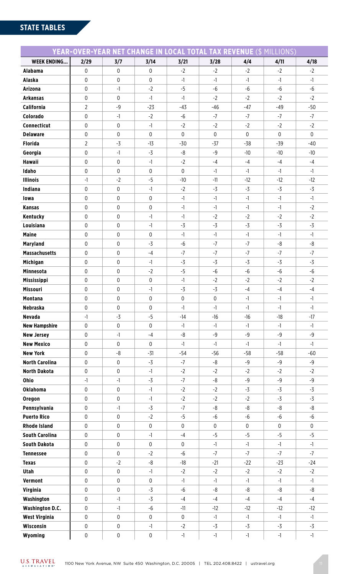### **STATE TABLES**

|                        | <b>YEAR-OVER-YEAR NET CHANGE IN LOCAL TOTAL TAX REVENUE (\$ MILLIONS)</b> |      |                  |                  |             |       |             |             |  |
|------------------------|---------------------------------------------------------------------------|------|------------------|------------------|-------------|-------|-------------|-------------|--|
| <b>WEEK ENDING</b>     | 2/29                                                                      | 3/7  | 3/14             | 3/21             | 3/28        | 4/4   | 4/11        | 4/18        |  |
| <b>Alabama</b>         | 0                                                                         | 0    | $\pmb{0}$        | $-2$             | $-2$        | $-2$  | $-2$        | $-2$        |  |
| <b>Alaska</b>          | 0                                                                         | 0    | $\mathbf 0$      | $-1$             | $-1$        | $-1$  | $-1$        | $-1$        |  |
| <b>Arizona</b>         | 0                                                                         | $-1$ | $-2$             | $-5$             | $-6$        | -6    | $-6$        | $-6$        |  |
| <b>Arkansas</b>        | 0                                                                         | 0    | $-1$             | $-1$             | $-2$        | $-2$  | $-2$        | $-2$        |  |
| California             | $\overline{2}$                                                            | $-9$ | $-23$            | $-43$            | $-46$       | $-47$ | $-49$       | $-50$       |  |
| Colorado               | 0                                                                         | $-1$ | $-2$             | $-6$             | $-7$        | $-7$  | $-7$        | $-7$        |  |
| Connecticut            | 0                                                                         | 0    | $-1$             | $-2$             | $-2$        | $-2$  | $-2$        | $-2$        |  |
| <b>Delaware</b>        | 0                                                                         | 0    | 0                | 0                | $\mathsf 0$ | 0     | $\mathbf 0$ | $\mathbf 0$ |  |
| <b>Florida</b>         | $\overline{2}$                                                            | $-3$ | $-13$            | $-30$            | $-37$       | $-38$ | $-39$       | $-40$       |  |
| Georgia                | 0                                                                         | $-1$ | $-3$             | -8               | $-9$        | $-10$ | $-10$       | $-10$       |  |
| <b>Hawaii</b>          | 0                                                                         | 0    | $-1$             | $-2$             | $-4$        | $-4$  | $-4$        | $-4$        |  |
| Idaho                  | 0                                                                         | 0    | 0                | $\mathbf 0$      | $-1$        | $-1$  | $-1$        | $-1$        |  |
| <b>Illinois</b>        | $-1$                                                                      | $-2$ | $-5$             | $-10$            | $-11$       | $-12$ | $-12$       | $-12$       |  |
| Indiana                | 0                                                                         | 0    | $-1$             | $-2$             | $-3$        | $-3$  | $-3$        | $-3$        |  |
| lowa                   | 0                                                                         | 0    | 0                | $-1$             | $-1$        | $-1$  | $-1$        | $-1$        |  |
| <b>Kansas</b>          | 0                                                                         | 0    | 0                | $-1$             | $-1$        | $-1$  | $-1$        | $-2$        |  |
| Kentucky               | 0                                                                         | 0    | $-1$             | $-1$             | $-2$        | $-2$  | $-2$        | $-2$        |  |
| Louisiana              | $\pmb{0}$                                                                 | 0    | $-1$             | $-3$             | $-3$        | $-3$  | $-3$        | $-3$        |  |
| <b>Maine</b>           | 0                                                                         | 0    | 0                | $-1$             | $-1$        | $-1$  | $-1$        | $-1$        |  |
| <b>Maryland</b>        | 0                                                                         | 0    | $-3$             | $-6$             | $-7$        | $-7$  | -8          | -8          |  |
| <b>Massachusetts</b>   | 0                                                                         | 0    | $-4$             | $-7$             | $-7$        | $-7$  | $-7$        | $-7$        |  |
| Michigan               | 0                                                                         | 0    | $-1$             | $-3$             | $-3$        | $-3$  | $-3$        | $-3$        |  |
| <b>Minnesota</b>       | 0                                                                         | 0    | $-2$             | $-5$             | $-6$        | -6    | $-6$        | $-6$        |  |
| <b>Mississippi</b>     | 0                                                                         | 0    | 0                | $-1$             | $-2$        | $-2$  | $-2$        | $-2$        |  |
| Missouri               | 0                                                                         | 0    | $-1$             | $-3$             | $-3$        | $-4$  | $-4$        | $-4$        |  |
| <b>Montana</b>         | $\mathbf 0$                                                               | 0    | $\mathbf 0$      | $\mathbf 0$      | $\mathsf 0$ | -1    | $-1$        | $-1$        |  |
| <b>Nebraska</b>        | 0                                                                         | 0    | $\mathbf{0}$     | $-1$             | $-1$        | $-1$  | $-1$        | $-1$        |  |
| <b>Nevada</b>          | $-1$                                                                      | $-3$ | $-5$             | $-14$            | $-16$       | $-16$ | $-18$       | $-17$       |  |
| <b>New Hampshire</b>   | 0                                                                         | 0    | $\boldsymbol{0}$ | $-1$             | $-1$        | $-1$  | $-1$        | $-1$        |  |
| <b>New Jersey</b>      | 0                                                                         | $-1$ | $-4$             | -8               | $-9$        | $-9$  | $-9$        | $-9$        |  |
| <b>New Mexico</b>      | 0                                                                         | 0    | $\pmb{0}$        | $-1$             | $-1$        | $-1$  | -1          | $-1$        |  |
| <b>New York</b>        | 0                                                                         | -8   | $-31$            | $-54$            | $-56$       | $-58$ | $-58$       | $-60$       |  |
| <b>North Carolina</b>  | $\pmb{0}$                                                                 | 0    | $-3$             | $-7$             | -8          | $-9$  | $-9$        | $-9$        |  |
| <b>North Dakota</b>    | $\pmb{0}$                                                                 | 0    | $-1$             | $-2$             | $-2$        | $-2$  | $-2$        | $-2$        |  |
| Ohio                   | $-1$                                                                      | $-1$ | $-3$             | $-7$             | -8          | $-9$  | $-9$        | $-9$        |  |
| <b>Oklahoma</b>        | $\pmb{0}$                                                                 | 0    | $-1$             | $-2$             | $-2$        | $-3$  | $-3$        | $-3$        |  |
| Oregon                 | $\pmb{0}$                                                                 | 0    | $-1$             | $-2$             | $-2$        | $-2$  | $-3$        | $-3$        |  |
| Pennsylvania           | 0                                                                         | $-1$ | $-3$             | $-7$             | -8          | -8    | -8          | -8          |  |
| <b>Puerto Rico</b>     | $\pmb{0}$                                                                 | 0    | $-2$             | $-5$             | -6          | -6    | $-6$        | $-6$        |  |
| <b>Rhode Island</b>    | $\pmb{0}$                                                                 | 0    | 0                | $\mathbf 0$      | $\pmb{0}$   | 0     | $\mathbf 0$ | $\pmb{0}$   |  |
| <b>South Carolina</b>  | $\pmb{0}$                                                                 | 0    | -1               | $-4$             | $-5$        | $-5$  | $-5$        | $-5$        |  |
| <b>South Dakota</b>    | $\pmb{0}$                                                                 | 0    | 0                | $\mathbf 0$      | $-1$        | $-1$  | $-1$        | $-1$        |  |
| <b>Tennessee</b>       | $\pmb{0}$                                                                 | 0    | $-2$             | $-6$             | $-7$        | $-7$  | $-7$        | $-7$        |  |
| <b>Texas</b>           | 0                                                                         | $-2$ | $-8$             | $-18$            | $-21$       | $-22$ | $-23$       | $-24$       |  |
| Utah                   | 0                                                                         | 0    | $-1$             | $-2$             | $-2$        | $-2$  | $-2$        | $-2$        |  |
| Vermont                | $\pmb{0}$                                                                 | 0    | $\mathbf 0$      | $-1$             | $-1$        | $-1$  | $-1$        | $-1$        |  |
| Virginia               | $\boldsymbol{0}$                                                          | 0    | $-3$             | $-6$             | -8          | -8    | -8          | -8          |  |
| Washington             | 0                                                                         | $-1$ | $-3$             | $-4$             | $-4$        | $-4$  | $-4$        | $-4$        |  |
| <b>Washington D.C.</b> | 0                                                                         | $-1$ | $-6$             | $-11$            | $-12$       | $-12$ | $-12$       | $-12$       |  |
| West Virginia          | $\boldsymbol{0}$                                                          | 0    | $\boldsymbol{0}$ | $\boldsymbol{0}$ | $-1$        | $-1$  | $-1$        | $-1$        |  |
| Wisconsin              | 0                                                                         | 0    | $-1$             | $-2$             | -3          | $-3$  | $-3$        | $-3$        |  |
| Wyoming                | 0                                                                         | 0    | 0                | $-1$             | $-1$        | $-1$  | $-1$        | $-1$        |  |